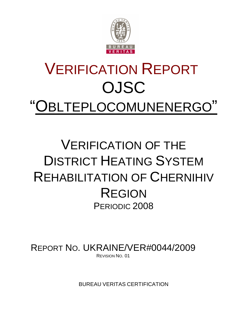

# VERIFICATION REPORT OJSC "OBLTEPLOCOMUNENERGO"

## VERIFICATION OF THE DISTRICT HEATING SYSTEM REHABILITATION OF CHERNIHIV REGION PERIODIC 2008

REPORT NO. UKRAINE/VER#0044/2009 REVISION NO. 01

BUREAU VERITAS CERTIFICATION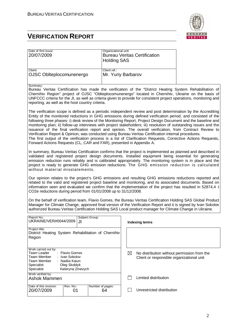## **VERIFICATION REPORT**



| Date of first issue:<br>20/07/2009                                                                                                                                                                                                                                                                                                                                                                                                                                                                                                                                                                                                                                                                                                                                                                                                                                                |                      | Organizational unit:<br><b>Holding SAS</b> |             | <b>Bureau Veritas Certification</b>                                                      |  |  |
|-----------------------------------------------------------------------------------------------------------------------------------------------------------------------------------------------------------------------------------------------------------------------------------------------------------------------------------------------------------------------------------------------------------------------------------------------------------------------------------------------------------------------------------------------------------------------------------------------------------------------------------------------------------------------------------------------------------------------------------------------------------------------------------------------------------------------------------------------------------------------------------|----------------------|--------------------------------------------|-------------|------------------------------------------------------------------------------------------|--|--|
| Client:<br>OJSC Oblteplocomunenergo                                                                                                                                                                                                                                                                                                                                                                                                                                                                                                                                                                                                                                                                                                                                                                                                                                               |                      | Client ref.:<br>Mr. Yuriy Barbarov         |             |                                                                                          |  |  |
| Summary:<br>Bureau Veritas Certification has made the verification of the "District Heating System Rehabilitation of<br>Chernihiv Region" project of OJSC "Oblteplocomunenergo" located in Chernihiv, Ukraine on the basis of<br>UNFCCC criteria for the JI, as well as criteria given to provide for consistent project operations, monitoring and<br>reporting, as well as the host country criteria.                                                                                                                                                                                                                                                                                                                                                                                                                                                                           |                      |                                            |             |                                                                                          |  |  |
| The verification scope is defined as a periodic independent review and post determination by the Accrediting<br>Entity of the monitored reductions in GHG emissions during defined verification period, and consisted of the<br>following three phases: i) desk review of the Monitoring Report, Project Design Document and the baseline and<br>monitoring plan; ii) follow-up interviews with project stakeholders; iii) resolution of outstanding issues and the<br>issuance of the final verification report and opinion. The overall verification, from Contract Review to<br>Verification Report & Opinion, was conducted using Bureau Veritas Certification internal procedures.<br>The first output of the verification process is a list of Clarification Requests, Corrective Actions Requests,<br>Forward Actions Requests (CL, CAR and FAR), presented in Appendix A. |                      |                                            |             |                                                                                          |  |  |
| In summary, Bureau Veritas Certification confirms that the project is implemented as planned and described in<br>validated and registered project design documents. Installed equipment being essential for generating<br>emission reduction runs reliably and is calibrated appropriately. The monitoring system is in place and the<br>project is ready to generate GHG emission reductions. The GHG emission reduction is calculated<br>without material misstatements.                                                                                                                                                                                                                                                                                                                                                                                                        |                      |                                            |             |                                                                                          |  |  |
| Our opinion relates to the project's GHG emissions and resulting GHG emissions reductions reported and<br>related to the valid and registered project baseline and monitoring, and its associated documents. Based on<br>information seen and evaluated we confirm that the implementation of the project has resulted in 52874,4 t<br>CO2e reductions during period from 01/01/2008 up to 31/12/2008.                                                                                                                                                                                                                                                                                                                                                                                                                                                                            |                      |                                            |             |                                                                                          |  |  |
| On the behalf of verification team, Flavio Gomes, the Bureau Veritas Certification Holding SAS Global Product<br>Manager for Climate Change, approved final version of the Verification Report and it is signed by Ivan Sokolov<br>authorized Bureau Veritas Certification Holding SAS Local product manager for Climate Change in Ukraine.                                                                                                                                                                                                                                                                                                                                                                                                                                                                                                                                       |                      |                                            |             |                                                                                          |  |  |
| Report No.:<br>UKRAINE/VER#0044/2009                                                                                                                                                                                                                                                                                                                                                                                                                                                                                                                                                                                                                                                                                                                                                                                                                                              | Subject Group:<br>JI |                                            |             | <b>Indexing terms</b>                                                                    |  |  |
| Project title:<br>District Heating System Rehabilitation of Chernihiv<br>Region                                                                                                                                                                                                                                                                                                                                                                                                                                                                                                                                                                                                                                                                                                                                                                                                   |                      |                                            |             |                                                                                          |  |  |
| Work carried out by:<br>Team Leader<br><b>Flavio Gomes</b><br><b>Team Member</b><br>Ivan Sokolov<br>Team Member<br>Nadiia Kaiun<br>Specialist<br>Oleg Skoblyk<br>Specialist<br>Kateryna Zinevych                                                                                                                                                                                                                                                                                                                                                                                                                                                                                                                                                                                                                                                                                  |                      |                                            | $\boxtimes$ | No distribution without permission from the<br>Client or responsible organizational unit |  |  |
| Work verified by:<br><b>Ashok Mammen</b>                                                                                                                                                                                                                                                                                                                                                                                                                                                                                                                                                                                                                                                                                                                                                                                                                                          |                      |                                            |             | Limited distribution                                                                     |  |  |
| Date of this revision:<br>Rev. No.:<br>20/07/2009                                                                                                                                                                                                                                                                                                                                                                                                                                                                                                                                                                                                                                                                                                                                                                                                                                 | 01                   | Number of pages:<br>64                     |             | Unrestricted distribution                                                                |  |  |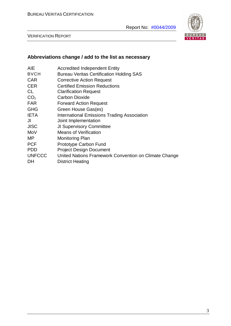

VERIFICATION REPORT

## **Abbreviations change / add to the list as necessary**

| AIE             | <b>Accredited Independent Entity</b>                  |
|-----------------|-------------------------------------------------------|
| <b>BVCH</b>     | <b>Bureau Veritas Certification Holding SAS</b>       |
| CAR             | <b>Corrective Action Request</b>                      |
| CER             | <b>Certified Emission Reductions</b>                  |
| CL              | <b>Clarification Request</b>                          |
| CO <sub>2</sub> | <b>Carbon Dioxide</b>                                 |
| FAR             | <b>Forward Action Request</b>                         |
| GHG             | Green House Gas(es)                                   |
| <b>IETA</b>     | <b>International Emissions Trading Association</b>    |
| JI              | Joint Implementation                                  |
| <b>JISC</b>     | <b>JI Supervisory Committee</b>                       |
| MoV             | <b>Means of Verification</b>                          |
| MΡ              | <b>Monitoring Plan</b>                                |
| <b>PCF</b>      | <b>Prototype Carbon Fund</b>                          |
| PDD             | <b>Project Design Document</b>                        |
| <b>UNFCCC</b>   | United Nations Framework Convention on Climate Change |
| DH              | <b>District Heating</b>                               |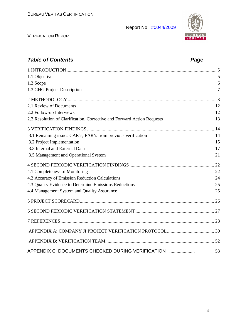Report No: #0044/2009



VERIFICATION REPORT

| <b>Table of Contents</b>                                                | Page           |
|-------------------------------------------------------------------------|----------------|
|                                                                         |                |
| 1.1 Objective                                                           | 5              |
| 1.2 Scope                                                               | 6              |
| 1.3 GHG Project Description                                             | $\overline{7}$ |
|                                                                         |                |
| 2.1 Review of Documents                                                 | 12             |
| 2.2 Follow-up Interviews                                                | 12             |
| 2.3 Resolution of Clarification, Corrective and Forward Action Requests | 13             |
|                                                                         |                |
| 3.1 Remaining issues CAR's, FAR's from previous verification            | 14             |
| 3.2 Project Implementation                                              | 15             |
| 3.3 Internal and External Data                                          | 17             |
| 3.5 Management and Operational System                                   | 21             |
|                                                                         | 22             |
| 4.1 Completeness of Monitoring                                          | 22             |
| 4.2 Accuracy of Emission Reduction Calculations                         | 24             |
| 4.3 Quality Evidence to Determine Emissions Reductions                  | 25             |
| 4.4 Management System and Quality Assurance                             | 25             |
|                                                                         |                |
|                                                                         |                |
|                                                                         |                |
|                                                                         |                |
|                                                                         |                |
| APPENDIX C: DOCUMENTS CHECKED DURING VERIFICATION                       | 53             |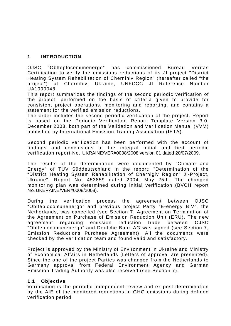#### **1 INTRODUCTION**

OJSC "Oblteplocomunenergo" has commissioned Bureau Veritas Certification to verify the emissions reductions of its JI project "District Heating System Rehabilitation of Chernihiv Region" (hereafter called "the project") at Chernihiv, Ukraine, UNFCCC JI Reference Number UA1000048.

This report summarizes the findings of the second periodic verification of the project, performed on the basis of criteria given to provide for consistent project operations, monitoring and reporting, and contains a statement for the verified emission reductions.

The order includes the second periodic verification of the project. Report is based on the Periodic Verification Report Template Version 3.0, December 2003, both part of the Validation and Verification Manual (VVM) published by International Emission Trading Association (IETA).

Second periodic verification has been performed with the account of findings and conclusions of the integral initial and first periodic verification report No. UKRAINE/VER#0008/2008 version 01 dated 20/07/2009.

The results of the determination were documented by "Climate and Energy" of TÜV Süddeutschland in the report: "Determination of the "District Heating System Rehabilitation of Chernigiv Region" JI-Project, Ukraine", Report No. 453859 dated 2004, May 25th. The changed monitoring plan was determined during initial verification (BVCH report No.UKERAINE/VER#0008/2008).

During the verification process the agreement between OJSC "Oblteplocomunenergo" and previous project Party "E-energy B.V", the Netherlands, was cancelled (see Section 7, Agreement on Termination of the Agreement on Purchase of Emission Reduction Unit (ERU). The new agreement regarding emission reduction trade between OJSC "Oblteplocomunenergo" and Deutche Bank AG was signed (see Section 7, Emission Reductions Purchase Agreement). All the documents were checked by the verification team and found valid and satisfactory.

Project is approved by the Ministry of Environment in Ukraine and Ministry of Economical Affairs in Netherlands (Letters of approval are presented). Since the one of the project Parties was changed from the Netherlands to Germany approval from Federal Environment Agency and German Emission Trading Authority was also received (see Section 7).

#### **1.1 Objective**

Verification is the periodic independent review and ex post determination by the AIE of the monitored reductions in GHG emissions during defined verification period.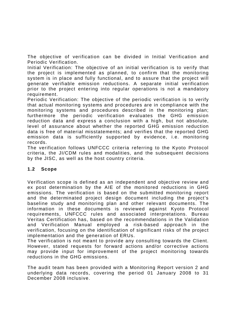The objective of verification can be divided in Initial Verification and Periodic Verification.

Initial Verification: The objective of an initial verification is to verify that the project is implemented as planned, to confirm that the monitoring system is in place and fully functional, and to assure that the project will generate verifiable emission reductions. A separate initial verification prior to the project entering into regular operations is not a mandatory requirement.

Periodic Verification: The objective of the periodic verification is to verify that actual monitoring systems and procedures are in compliance with the monitoring systems and procedures described in the monitoring plan; furthermore the periodic verification evaluates the GHG emission reduction data and express a conclusion with a high, but not absolute, level of assurance about whether the reported GHG emission reduction data is free of material misstatements; and verifies that the reported GHG emission data is sufficiently supported by evidence, i.e. monitoring records.

The verification follows UNFCCC criteria referring to the Kyoto Protocol criteria, the JI/CDM rules and modalities, and the subsequent decisions by the JISC, as well as the host country criteria.

#### **1.2 Scope**

Verification scope is defined as an independent and objective review and ex post determination by the AIE of the monitored reductions in GHG emissions. The verification is based on the submitted monitoring report and the determinated project design document including the project's baseline study and monitoring plan and other relevant documents. The information in these documents is reviewed against Kyoto Protocol requirements, UNFCCC rules and associated interpretations. Bureau Veritas Certification has, based on the recommendations in the Validation and Verification Manual employed a risk-based approach in the verification, focusing on the identification of significant risks of the project implementation and the generation of ERUs.

The verification is not meant to provide any consulting towards the Client. However, stated requests for forward actions and/or corrective actions may provide input for improvement of the project monitoring towards reductions in the GHG emissions.

The audit team has been provided with a Monitoring Report version 2 and underlying data records, covering the period 01 January 2008 to 31 December 2008 inclusive.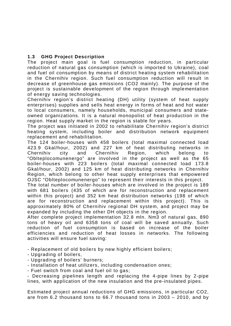#### **1.3 GHG Project Description**

The project main goal is fuel consumption reduction, in particular reduction of natural gas consumption (which is imported to Ukraine), coal and fuel oil consumption by means of district heating system rehabilitation in the Chernihiv region. Such fuel consumption reduction will result in decrease of greenhouse gas emissions (CO2 mainly). The purpose of the project is sustainable development of the region through implementation of energy saving technologies.

Chernihiv region's district heating (DH) utility (system of heat supply enterprises) supplies and sells heat energy in forms of heat and hot water to local consumers, namely households, municipal consumers and stateowned organizations. It is a natural monopolist of heat production in the region. Heat supply market in the region is stable for years.

The project was initiated in 2002 to rehabilitate Chernihiv region's district heating system, including boiler and distribution network equipment replacement and rehabilitation.

The 124 boiler-houses with 458 boilers (total maximal connected load 423.9 Gkal/hour, 2002) and 227 km of heat distributing networks in Chernihiv city and Chernihiv Region, which belong to "Oblteplocomunenergo" are involved in the project as well as the 65 boiler-houses with 223 boilers (total maximal connected load 173.8 Gkal/hour, 2002) and 125 km of heat distributing networks in Chernihiv Region, which belong to other heat supply enterprises that empowered OJSC "Oblteplocomunenergo" to represent their interests in this project.

The total number of boiler-houses which are involved in the project is 189 with 681 boilers (435 of which are for reconstruction and replacement within this project) and 352 km heat distribution networks (198 of which are for reconstruction and replacement within this project). This is approximately 80% of Chernihiv regional DH system, and project may be expanded by including the other DH objects in the region.

After complete project implementation 32.8 mln. Nm3 of natural gas, 890 tons of heavy oil and 6358 tons of coal will be saved annually. Such reduction of fuel consumption is based on increase of the boiler efficiencies and reduction of heat losses in networks. The following activities will ensure fuel saving:

- Replacement of old boilers by new highly efficient boilers;

- Upgrading of boilers,
- Upgrading of boilers' burners;

- Installation of heat utilizers, including condensation ones;

- Fuel switch from coal and fuel oil to gas;

- Decreasing pipelines length and replacing the 4-pipe lines by 2-pipe lines, with application of the new insulation and the pre-insulated pipes.

Estimated project annual reductions of GHG emissions, in particular CO2, are from 6.2 thousand tons to 66.7 thousand tons in 2003 – 2010, and by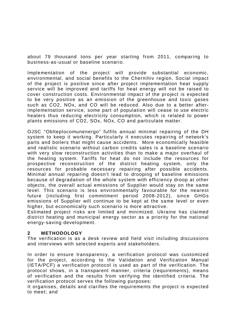about 79 thousand tons per year starting from 2011, comparing to business-as-usual or baseline scenario.

Implementation of the project will provide substantial economic, environmental, and social benefits to the Chernihiv region. Social impact of the project is positive since after project implementation heat supply service will be improved and tariffs for heat energy will not be raised to cover construction costs. Environmental impact of the project is expected to be very positive as an emission of the greenhouse and toxic gases such as CO2, NOx, and CO will be reduced. Also due to a better afterimplementation service, some part of population will cease to use electric heaters thus reducing electricity consumption, which is related to power plants emissions of CO2, SOx, NOx, CO and particulate matter.

OJSC "Oblteplocomunenergo" fulfils annual minimal repairing of the DH system to keep it working. Particularly it executes repairing of network's parts and boilers that might cause accidents. More economically feasible and realistic scenario without carbon credits sales is a baseline scenario with very slow reconstruction activities than to make a major overhaul of the heating system. Tariffs for heat do not include the resources for prospective reconstruction of the district heating system, only the resources for probable necessary repairing after possible accidents. Minimal annual repairing doesn't lead to drooping of baseline emissions because of degradation of the whole system with efficiency droop at other objects, the overall actual emissions of Supplier would stay on the same level. This scenario is less environmentally favourable for the nearest future (including first commitment period 2008-2012), since GHGs emissions of Supplier will continue to be kept at the same level or even higher, but economically such scenario is more attractive.

Estimated project risks are limited and minimized. Ukraine has claimed district heating and municipal energy sector as a priority for the national energy-saving development.

#### **2 METHODOLOGY**

The verification is as a desk review and field visit including discussions and interviews with selected experts and stakeholders.

In order to ensure transparency, a verification protocol was customized for the project, according to the Validation and Verification Manual (IETA/PCF) a verification protocol is used as part of the verification. The protocol shows, in a transparent manner, criteria (requirements), means of verification and the results from verifying the identified criteria. The verification protocol serves the following purposes:

It organises, details and clarifies the requirements the project is expected to meet; and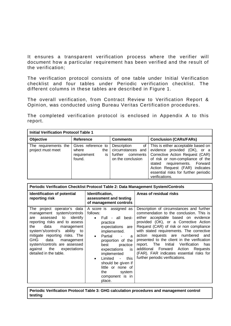It ensures a transparent verification process where the verifier will document how a particular requirement has been verified and the result of the verification;

The verification protocol consists of one table under Initial Verification checklist and four tables under Periodic verification checklist. The different columns in these tables are described in Figure 1.

The overall verification, from Contract Review to Verification Report & Opinion, was conducted using Bureau Veritas Certification procedures.

The completed verification protocol is enclosed in Appendix A to this report.

| <b>Initial Verification Protocol Table 1</b> |                                                                   |                                                                              |                                                                                                                                                                                                                                                                               |  |  |  |  |  |
|----------------------------------------------|-------------------------------------------------------------------|------------------------------------------------------------------------------|-------------------------------------------------------------------------------------------------------------------------------------------------------------------------------------------------------------------------------------------------------------------------------|--|--|--|--|--|
| <b>Objective</b>                             | <b>Reference</b>                                                  | <b>Comments</b>                                                              | <b>Conclusion (CARs/FARs)</b>                                                                                                                                                                                                                                                 |  |  |  |  |  |
| The requirements the<br>project must meet    | Gives reference to<br>where<br>the<br>requirement<br>is<br>found. | Description<br>circumstances and<br>further<br>comments<br>on the conclusion | of   This is either acceptable based on<br>evidence provided (OK), or a<br>Corrective Action Request (CAR)<br>of risk or non-compliance of the<br>requirements. Forward<br>stated<br>Action Request (FAR) indicates<br>essential risks for further periodic<br>verifications. |  |  |  |  |  |

| Periodic Verification Checklist Protocol Table 2: Data Management System/Controls                                                                                                                                                                                                                                                                    |                                                                                                                                                                                                                                                                                                                                                                   |                                                                                                                                                                                                                                                                                                                                                                                                                                                                                                                                 |  |  |  |  |
|------------------------------------------------------------------------------------------------------------------------------------------------------------------------------------------------------------------------------------------------------------------------------------------------------------------------------------------------------|-------------------------------------------------------------------------------------------------------------------------------------------------------------------------------------------------------------------------------------------------------------------------------------------------------------------------------------------------------------------|---------------------------------------------------------------------------------------------------------------------------------------------------------------------------------------------------------------------------------------------------------------------------------------------------------------------------------------------------------------------------------------------------------------------------------------------------------------------------------------------------------------------------------|--|--|--|--|
| Identification of potential<br>reporting risk                                                                                                                                                                                                                                                                                                        | Identification,<br>assessment and testing<br>of management controls                                                                                                                                                                                                                                                                                               | Areas of residual risks                                                                                                                                                                                                                                                                                                                                                                                                                                                                                                         |  |  |  |  |
| The project operator's data<br>management system/controls<br>identify<br>assessed to<br>are<br>reporting risks and to assess<br>data<br>the<br>management<br>system's/control's ability to<br>mitigate reporting risks. The<br>GHG<br>data<br>management<br>system/controls are assessed<br>against<br>the<br>expectations<br>detailed in the table. | A score is assigned as<br>follows:<br>Full - all best-<br>$\bullet$<br>practice<br>expectations are<br>implemented.<br>Partial<br>$\bullet$<br>a<br>proportion of the<br>best<br>practice<br>expectations<br>is<br>implemented<br>Limited<br>this<br>$\sim$<br>$\bullet$<br>should be given if<br>little or none of<br>the<br>system<br>component is in<br>place. | Description of circumstances and further<br>commendation to the conclusion. This is<br>either acceptable based on evidence<br>provided (OK), or a Corrective Action<br>Request (CAR) of risk or non compliance<br>with stated requirements. The corrective<br>action requests are numbered<br>and<br>presented to the client in the verification<br>Initial<br>Verification<br>report. The<br>has<br>additional<br>Forward<br>Action<br>Requests<br>(FAR). FAR indicates essential risks for<br>further periodic verifications. |  |  |  |  |

**Periodic Verification Protocol Table 3: GHG calculation procedures and management control testing**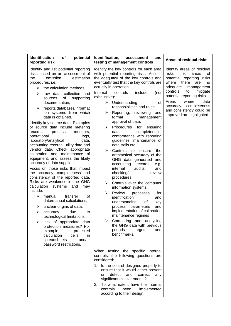| <b>Identification</b><br>of<br>potential<br>reporting risk                                                                                                                                                                                                                                                                                                                                                                                                                                                                                                                                                                                                                                                                                                                                                                                                                                                                                                                                                                                                                                                                                                             | Identification,<br>assessment<br>and<br>testing of management controls                                                                                                                                                                                                                                                                                                                                                                                                                                                                                                                                                                                                                                                                                                                                                                                                                                                                                                                                                                                                                                                           | Areas of residual risks                                                                                                                                                                                                                                                                                                      |
|------------------------------------------------------------------------------------------------------------------------------------------------------------------------------------------------------------------------------------------------------------------------------------------------------------------------------------------------------------------------------------------------------------------------------------------------------------------------------------------------------------------------------------------------------------------------------------------------------------------------------------------------------------------------------------------------------------------------------------------------------------------------------------------------------------------------------------------------------------------------------------------------------------------------------------------------------------------------------------------------------------------------------------------------------------------------------------------------------------------------------------------------------------------------|----------------------------------------------------------------------------------------------------------------------------------------------------------------------------------------------------------------------------------------------------------------------------------------------------------------------------------------------------------------------------------------------------------------------------------------------------------------------------------------------------------------------------------------------------------------------------------------------------------------------------------------------------------------------------------------------------------------------------------------------------------------------------------------------------------------------------------------------------------------------------------------------------------------------------------------------------------------------------------------------------------------------------------------------------------------------------------------------------------------------------------|------------------------------------------------------------------------------------------------------------------------------------------------------------------------------------------------------------------------------------------------------------------------------------------------------------------------------|
| Identify and list potential reporting<br>risks based on an assessment of<br>emission<br>the<br>estimation<br>procedures, i.e.<br>the calculation methods,<br>➤<br>raw data collection and<br>⋗<br>of<br>supporting<br>sources<br>documentation,<br>reports/databases/informat<br>➤<br>ion systems from which<br>data is obtained.<br>Identify key source data. Examples<br>of source data include metering<br>records,<br>monitors,<br>process<br>operational<br>logs,<br>laboratory/analytical<br>data,<br>accounting records, utility data and<br>vendor data. Check appropriate<br>calibration and maintenance of<br>equipment, and assess the likely<br>accuracy of data supplied.<br>Focus on those risks that impact<br>the accuracy, completeness and<br>consistency of the reported data.<br>Risks are weakness in the GHG<br>calculation<br>systems<br>and<br>may<br>include:<br>transfer<br>οf<br>≻<br>manual<br>data/manual calculations,<br>unclear origins of data,<br>➤<br>due<br>≻<br>accuracy<br>to<br>technological limitations,<br>lack of appropriate data<br>➤<br>protection measures? For<br>example,<br>protected<br>calculation<br>cells<br>in. | Identify the key controls for each area<br>with potential reporting risks. Assess<br>the adequacy of the key controls and<br>eventually test that the key controls are<br>actually in operation.<br>Internal<br>controls<br>include<br>(not<br>exhaustive):<br>$\triangleright$ Understanding<br>οf<br>responsibilities and roles<br>Reporting, reviewing<br>➤<br>and<br>formal<br>management<br>approval of data;<br>Procedures<br>for<br>ensuring<br>➤<br>data<br>completeness,<br>conformance with reporting<br>guidelines, maintenance of<br>data trails etc.<br>➤<br>Controls<br>to<br>ensure<br>the<br>arithmetical accuracy of the<br>GHG data generated and<br>accounting<br>records<br>e.g.<br>internal<br>audits,<br>and<br>checking/<br>review<br>procedures;<br>Controls over the computer<br>➤<br>information systems;<br>≻<br>Review<br>processes<br>for<br>identification<br>and<br>understanding<br>οf<br>key<br>parameters<br>process<br>and<br>implementation of calibration<br>maintenance regimes<br>Comparing and analysing<br>➤<br>the GHG data with previous<br>periods,<br>targets<br>and<br>benchmarks. | Identify areas of residual<br>risks,<br>i.e.<br>areas<br>ot<br>potential reporting risks<br>there<br>where<br>are<br>no<br>adequate<br>management<br>controls<br>mitigate<br>to<br>potential reporting risks<br>where<br>Areas<br>data<br>accuracy,<br>completeness<br>and consistency could be<br>improved are highlighted. |
| and/or<br>spreadsheets<br>password restrictions.                                                                                                                                                                                                                                                                                                                                                                                                                                                                                                                                                                                                                                                                                                                                                                                                                                                                                                                                                                                                                                                                                                                       | When testing the specific internal<br>controls, the following questions are<br>considered:<br>1. Is the control designed properly to<br>ensure that it would either prevent<br>detect<br>and<br>correct<br>or<br>any<br>significant misstatements?<br>2. To what extent have the internal<br>controls<br>been<br>implemented<br>according to their design;                                                                                                                                                                                                                                                                                                                                                                                                                                                                                                                                                                                                                                                                                                                                                                       |                                                                                                                                                                                                                                                                                                                              |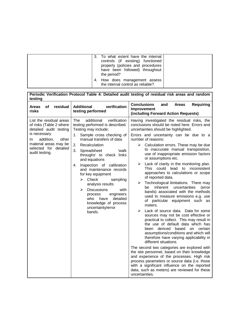| 3. To what extent have the internal<br>controls (if existing) functioned<br>properly (policies and procedures<br>have been followed) throughout<br>the period?<br>4. How does management assess<br>the internal control as reliable? |  |
|--------------------------------------------------------------------------------------------------------------------------------------------------------------------------------------------------------------------------------------|--|
|--------------------------------------------------------------------------------------------------------------------------------------------------------------------------------------------------------------------------------------|--|

| Periodic Verification Protocol Table 4: Detailed audit testing of residual risk areas and random<br>testing                                                                                    |                                                                                                                                                                                                                                                                                                                                                                                                                                                                                                                                                                |                                                                                                                                                                                                                                                                                                                                                                                                                                                                                                                                                                                                                                                                                                                                                                                                                                                                                                                                                                                                                                                                                                                                                                                                                                                                                                                                                                       |  |  |  |  |  |
|------------------------------------------------------------------------------------------------------------------------------------------------------------------------------------------------|----------------------------------------------------------------------------------------------------------------------------------------------------------------------------------------------------------------------------------------------------------------------------------------------------------------------------------------------------------------------------------------------------------------------------------------------------------------------------------------------------------------------------------------------------------------|-----------------------------------------------------------------------------------------------------------------------------------------------------------------------------------------------------------------------------------------------------------------------------------------------------------------------------------------------------------------------------------------------------------------------------------------------------------------------------------------------------------------------------------------------------------------------------------------------------------------------------------------------------------------------------------------------------------------------------------------------------------------------------------------------------------------------------------------------------------------------------------------------------------------------------------------------------------------------------------------------------------------------------------------------------------------------------------------------------------------------------------------------------------------------------------------------------------------------------------------------------------------------------------------------------------------------------------------------------------------------|--|--|--|--|--|
| residual<br>of<br><b>Areas</b><br>risks                                                                                                                                                        | <b>Additional</b><br>verification<br>testing performed                                                                                                                                                                                                                                                                                                                                                                                                                                                                                                         | <b>Conclusions</b><br>and<br><b>Areas</b><br><b>Requiring</b><br>Improvement<br>(including Forward Action Requests)                                                                                                                                                                                                                                                                                                                                                                                                                                                                                                                                                                                                                                                                                                                                                                                                                                                                                                                                                                                                                                                                                                                                                                                                                                                   |  |  |  |  |  |
| List the residual areas<br>of risks (Table 2 where<br>detailed audit testing<br>is necessary.<br>addition,<br>other<br>In.<br>material areas may be<br>selected for detailed<br>audit testing. | additional<br>verification<br>The<br>testing performed is described.<br>Testing may include:<br>Sample cross checking of<br>1.<br>manual transfers of data<br>Recalculation<br>2.<br>3.<br>Spreadsheet<br>ʻwalk<br>throughs' to check links<br>and equations<br>Inspection of calibration<br>4.<br>and maintenance records<br>for key equipment<br>Check<br>$\blacktriangleright$<br>sampling<br>analysis results<br><b>Discussions</b><br>➤<br>with<br>engineers<br>process<br>detailed<br>who<br>have<br>knowledge of process<br>uncertainty/error<br>bands. | Having investigated the residual risks, the<br>conclusions should be noted here. Errors and<br>uncertainties should be highlighted.<br>Errors and uncertainty can be due to a<br>number of reasons:<br>Calculation errors. These may be due<br>≻<br>to inaccurate manual transposition,<br>use of inappropriate emission factors<br>or assumptions etc.<br>Lack of clarity in the monitoring plan.<br>➤<br>This could lead to<br>inconsistent<br>approaches to calculations or scope<br>of reported data.<br>Technological limitations. There may<br>➤<br>inherent<br>uncertainties<br>be<br>(error<br>bands) associated with the methods<br>used to measure emissions e.g. use<br>of particular equipment such as<br>meters.<br>Lack of source data. Data for some<br>↘<br>sources may not be cost effective or<br>practical to collect. This may result in<br>the use of default data which has<br>derived<br>based on certain<br>been<br>assumptions/conditions and which will<br>therefore have varying applicability in<br>different situations.<br>The second two categories are explored with<br>the site personnel, based on their knowledge<br>and experience of the processes. High risk<br>process parameters or source data (i.e. those<br>with a significant influence on the reported<br>data, such as meters) are reviewed for these<br>uncertainties. |  |  |  |  |  |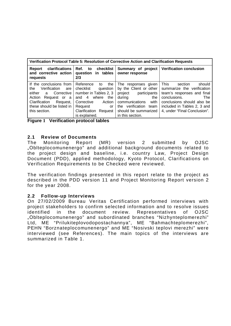| Verification Protocol Table 5: Resolution of Corrective Action and Clarification Requests                                                                                            |                                                                                                                                                                                           |                                                                                                                                                                                                |                                                                                                                                                                                                           |  |  |  |  |
|--------------------------------------------------------------------------------------------------------------------------------------------------------------------------------------|-------------------------------------------------------------------------------------------------------------------------------------------------------------------------------------------|------------------------------------------------------------------------------------------------------------------------------------------------------------------------------------------------|-----------------------------------------------------------------------------------------------------------------------------------------------------------------------------------------------------------|--|--|--|--|
| clarifications<br>Report<br>and corrective action<br>requests                                                                                                                        | Ref. to<br>checklist<br>question in tables<br>2/3                                                                                                                                         | Summary of project<br>owner response                                                                                                                                                           | <b>Verification conclusion</b>                                                                                                                                                                            |  |  |  |  |
| If the conclusions from<br>Verification<br>the<br>are<br>either<br>a Corrective<br>Action<br>Request or a<br>Clarification<br>Request,<br>these should be listed in<br>this section. | Reference<br>the<br>to<br>checklist<br>question<br>number in Tables 2, 3<br>where<br>and $4$<br>the<br>Corrective<br>Action<br>Request<br>or<br>Clarification<br>Request<br>is explained. | The responses given<br>by the Client or other<br>project<br>participants<br>during<br>the<br>communications<br>with<br>verification<br>team<br>the<br>should be summarized<br>in this section. | This<br>should<br>section<br>summarize the verification<br>team's responses and final<br>conclusions.<br>The<br>conclusions should also be<br>included in Tables 2, 3 and<br>4, under "Final Conclusion". |  |  |  |  |

**Figure 1 Verification protocol tables**

#### **2.1 Review of Documents**

The Monitoring Report (MR) version 2 submitted by OJSC "Oblteplocomunenergo" and additional background documents related to the project design and baseline, i.e. country Law, Project Design Document (PDD), applied methodology, Kyoto Protocol, Clarifications on Verification Requirements to be Checked were reviewed.

The verification findings presented in this report relate to the project as described in the PDD version 11 and Project Monitoring Report version 2 for the year 2008.

#### **2.2 Follow-up Interviews**

On 27/02/2009 Bureau Veritas Certification performed interviews with project stakeholders to confirm selected information and to resolve issues identified in the document review. Representatives of OJSC "Oblteplocomunenergo" and subordinated branches "Nizhynteplomerezhi" Ltd, ME "Prilukiteplovodopostachannya", ME "Bahmachteplomerezhi", PEHN "Borznateplocomunenergo" and ME "Nosivski teplovi merezhi" were interviewed (see References). The main topics of the interviews are summarized in Table 1.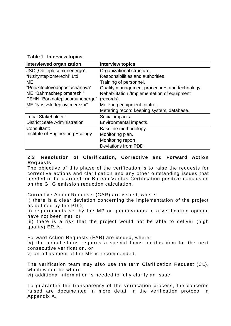| <b>Interviewed organization</b>      | <b>Interview topics</b>                       |
|--------------------------------------|-----------------------------------------------|
| JSC "Oblteplocomunenergo",           | Organizational structure.                     |
| "Nizhynteplomerezhi" Ltd             | Responsibilities and authorities.             |
| ME                                   | Training of personnel.                        |
| "Prilukiteplovodopostachannya"       | Quality management procedures and technology. |
| ME "Bahmachteplomerezhi"             | Rehabilitation /Implementation of equipment   |
| PEHN "Borznateplocomunenergo"        | (records).                                    |
| ME "Nosivski teplovi merezhi"        | Metering equipment control.                   |
|                                      | Metering record keeping system, database.     |
| Local Stakeholder:                   | Social impacts.                               |
| <b>District State Administration</b> | Environmental impacts.                        |
| Consultant:                          | Baseline methodology.                         |
| Institute of Engineering Ecology     | Monitoring plan.                              |
|                                      | Monitoring report.                            |
|                                      | Deviations from PDD.                          |

#### **2.3 Resolution of Clarification, Corrective and Forward Action Requests**

The objective of this phase of the verification is to raise the requests for corrective actions and clarification and any other outstanding issues that needed to be clarified for Bureau Veritas Certification positive conclusion on the GHG emission reduction calculation.

Corrective Action Requests (CAR) are issued, where:

i) there is a clear deviation concerning the implementation of the project as defined by the PDD;

ii) requirements set by the MP or qualifications in a verification opinion have not been met; or

iii) there is a risk that the project would not be able to deliver (high quality) ERUs.

Forward Action Requests (FAR) are issued, where:

iv) the actual status requires a special focus on this item for the next consecutive verification, or

v) an adjustment of the MP is recommended.

The verification team may also use the term Clarification Request (CL), which would be where:

vi) additional information is needed to fully clarify an issue.

To guarantee the transparency of the verification process, the concerns raised are documented in more detail in the verification protocol in Appendix A.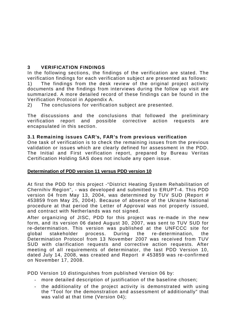#### **3 VERIFICATION FINDINGS**

In the following sections, the findings of the verification are stated. The verification findings for each verification subject are presented as follows: 1) The findings from the desk review of the original project activity documents and the findings from interviews during the follow up visit are summarized. A more detailed record of these findings can be found in the Verification Protocol in Appendix A.

2) The conclusions for verification subject are presented.

The discussions and the conclusions that followed the preliminary verification report and possible corrective action requests are encapsulated in this section.

#### **3.1 Remaining issues CAR's, FAR's from previous verification**

One task of verification is to check the remaining issues from the previous validation or issues which are clearly defined for assessment in the PDD. The Initial and First verification report, prepared by Bureau Veritas Certification Holding SAS does not include any open issue.

#### **Determination of PDD version 11 versus PDD version 10**

At first the PDD for this project -"District Heating System Rehabilitation of Chernihiv Region", - was developed and submitted to ERUPT-4. This PDD version 04 from May 13, 2004, was determined by TUV SUD (Report # 453859 from May 25, 2004). Because of absence of the Ukraine National procedure at that period the Letter of Approval was not properly issued, and contract with Netherlands was not signed.

After organizing of JISC, PDD for this project was re-made in the new form, and its version 06 dated August 30, 2007, was sent to TUV SUD for re-determination. This version was published at the UNFCCC site for global stakeholder process. During the re-determination, the Determination Protocol from 13 November 2007 was received from TUV SUD with clarification requests and corrective action requests. After meeting of all requirements of determinator, the last PDD Version 10, dated July 14, 2008, was created and Report # 453859 was re-confirmed on November 17, 2008.

PDD Version 10 distinguishes from published Version 06 by:

- more detailed description of justification of the baseline chosen;
- the additionality of the project activity is demonstrated with using the "Tool for the demonstration and assessment of additionally" that was valid at that time (Version 04);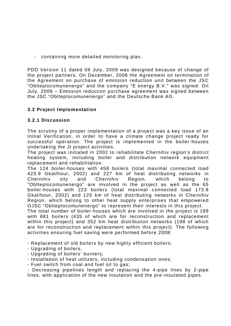- containing more detailed monitoring plan.

PDD Version 11 dated 09 July, 2009 was designed because of change of the project partners. On December, 2008 the Agreement on termination of the Agreement on purchase of emission reduction unit between the JSC "Oblteplocomunenergo" and the company "E energy B.V." was signed. On July, 2009 – Emission reduction purchase agreement was signed between the JSC "Oblteplocomunenergo" and the Deutsche Bank AG.

#### **3.2 Project Implementation**

#### **3.2.1 Discussion**

The scrutiny of a proper implementation of a project was a key issue of an Initial Verification, in order to have a climate change project ready for successful operation. The project is implemented in the boiler-houses undertaking the JI project activities.

The project was initiated in 2002 to rehabilitate Chernihiv region's district heating system, including boiler and distribution network equipment replacement and rehabilitation.

The 124 boiler-houses with 458 boilers (total maximal connected load 423.9 Gkal/hour, 2002) and 227 km of heat distributing networks in Chernihiv city and Chernihiv Region, which belong to "Oblteplocomunenergo" are involved in the project as well as the 65 boiler-houses with 223 boilers (total maximal connected load 173.8 Gkal/hour, 2002) and 125 km of heat distributing networks in Chernihiv Region, which belong to other heat supply enterprises that empowered OJSC "Oblteplocomunenergo" to represent their interests in this project.

The total number of boiler-houses which are involved in the project is 189 with 681 boilers (435 of which are for reconstruction and replacement within this project) and 352 km heat distribution networks (198 of which are for reconstruction and replacement within this project). The following activities ensuring fuel saving were performed before 2008:

- Replacement of old boilers by new highly efficient boilers;

- Upgrading of boilers,
- Upgrading of boilers' burners;
- Installation of heat utilizers, including condensation ones;
- Fuel switch from coal and fuel oil to gas;

- Decreasing pipelines length and replacing the 4-pipe lines by 2-pipe lines, with application of the new insulation and the pre-insulated pipes.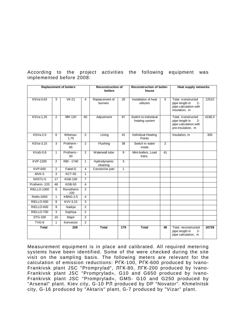|                    |              | <b>Replacement of boilers</b> |                | <b>Reconstruction of</b><br>boilers | Reconstruction of boiler-<br>house |                                        |                | <b>Heat supply networks</b>                                                                 |        |
|--------------------|--------------|-------------------------------|----------------|-------------------------------------|------------------------------------|----------------------------------------|----------------|---------------------------------------------------------------------------------------------|--------|
| KSVa-0,63          | 3            | $VK-21$                       | $\overline{4}$ | Replacement of<br>burners           | 20                                 | Installation of heat<br>utilizers      | 5              | Total rconstructed<br>$2 -$<br>pipe length in<br>pipe calculation with<br>insulation, m     | 12510  |
| KSVa-1,25          | 2            | MH 120                        | 60             | Adjustment                          | 67                                 | Switch to individual<br>heating system |                | Total rconstructed<br>pipe length in<br>$2 -$<br>pipe calculation with<br>pre-insulation, m | 4168,3 |
| <b>KSVa-2,0</b>    | 6            | Witomax-<br>1,75              | 2              | Lining                              | 41                                 | Individual Heating<br>Points           |                | Insulation, m                                                                               | 300    |
| KSVa-3,15          | 3            | Protherm -<br>85              | $\overline{2}$ | Flushing                            | 38                                 | Switch in water<br>mode                | $\overline{2}$ |                                                                                             |        |
| $KVaS-0,8$         | $\mathbf{1}$ | Protherm -<br>50              | $\overline{2}$ | Waterwall tube                      | $\overline{9}$                     | Mini-boilers, Load<br>trans.           | 41             |                                                                                             |        |
| KVP-1200           | 2            | RBI - 1740                    | $\mathbf{1}$   | <b>Hydrodynamic</b><br>cleaning     | 3                                  |                                        |                |                                                                                             |        |
| <b>KVP-600</b>     | 2            | Fakel-G                       | 4              | Convective part                     | $\mathbf{1}$                       |                                        |                |                                                                                             |        |
| MVK-5              | 3            | <b>KCT-50</b>                 | 1              |                                     |                                    |                                        |                |                                                                                             |        |
| NIISTU-5           | 17           | <b>KGB-100</b>                | $\overline{7}$ |                                     |                                    |                                        |                |                                                                                             |        |
| Protherm -120      | 46           | $KGB-50$                      | 4              |                                     |                                    |                                        |                |                                                                                             |        |
| <b>RIELLO-1000</b> | 6            | Rivnotherm<br>$-100$          | 2              |                                     |                                    |                                        |                |                                                                                             |        |
| Riello-2000        | $\mathbf{1}$ | <b>KBNG-2,5</b>               | $\overline{4}$ |                                     |                                    |                                        |                |                                                                                             |        |
| RIELLO-500         | 9            | KVV-3,15                      | 3              |                                     |                                    |                                        |                |                                                                                             |        |
| RIELLO-600         | 9            | Nadiya                        | 2              |                                     |                                    |                                        |                |                                                                                             |        |
| RIELLO-700         | 3            | Sophiya                       | 2              |                                     |                                    |                                        |                |                                                                                             |        |
| STG-100            | 10           | Major                         | 2              |                                     |                                    |                                        |                |                                                                                             |        |
| TVG-8              | $\mathbf{1}$ | Konvector                     | 2              |                                     |                                    |                                        |                |                                                                                             |        |
| <b>Total</b>       |              | 228                           |                | <b>Total</b>                        | 179                                | <b>Total</b>                           | 48             | Total reconstructed<br>pipe length in<br>$2 -$<br>pipe calculation, m                       | 16739  |

According to the project activities the following equipment was implemented before 2008:

Measurement equipment is in place and calibrated. All required metering systems have been identified. Some of the were checked during the site visit on the sampling basis. The following meters are relevant for the calculation of emission reductions: PFK-100, PFK-600 produced by Ivano-Frankivsk plant JSC "Promprylad", ЛГК-80, ЛГК-200 produced by Ivano-Frankivsk plant JSC "Promprylad», G10 and G650 produced by Ivano-Frankivsk plant JSC "Promprylad», GMS- G10 and G250 produced by "Arsenal" plant. Kiev city, G-10 PJ produced by DP "Novator". Khmelnitsk city, G-16 produced by "Aktaris" plant, G-7 produced by "Vizar" plant.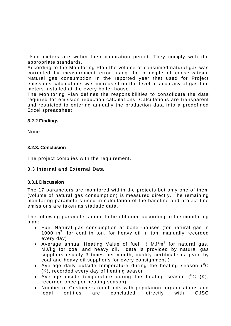Used meters are within their calibration period. They comply with the appropriate standards.

According to the Monitoring Plan the volume of consumed natural gas was corrected by measurement error using the principle of conservatism. Natural gas consumption in the reported year that used for Project emissions calculations was increased on the level of accuracy of gas flue meters installed at the every boiler-house.

The Monitoring Plan defines the responsibilities to consolidate the data required for emission reduction calculations. Calculations are transparent and restricted to entering annually the production data into a predefined Excel spreadsheet.

#### **3.2.2 Findings**

None.

#### **3.2.3. Conclusion**

The project complies with the requirement.

#### **3.3 Internal and External Data**

#### **3.3.1 Discussion**

The 17 parameters are monitored within the projects but only one of them (volume of natural gas consumption) is measured directly. The remaining monitoring parameters used in calculation of the baseline and project line emissions are taken as statistic data.

The following parameters need to be obtained according to the monitoring plan:

- Fuel Natural gas consumption at boiler-houses (for natural gas in 1000 m<sup>3</sup>, for coal in ton, for heavy oil in ton, manually recorded every day)
- Average annual Heating Value of fuel (  $MJ/m^3$  for natural gas, MJ/kg for coal and heavy oil, data is provided by natural gas suppliers usually 3 times per month, quality certificate is given by coal and heavy oil supplier's for every consignment )
- Average daily outside temperature during the heating season ( $^0C$ (K), recorded every day of heating season
- Average inside temperature during the heating season ( $^0C$  (K), recorded once per heating season)
- Number of Customers (contracts with population, organizations and legal entities are concluded directly with OJSC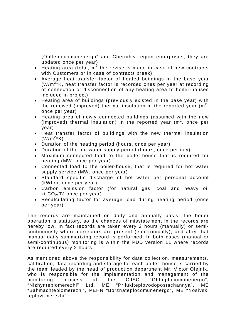"Oblteplocomunenergo" and Chernihiv region enterprises, they are updated once per year)

- Heating area (total,  $m^2$  the revise is made in case of new contracts with Customers or in case of contracts break)
- Average heat transfer factor of heated buildings in the base year  $(W/m^{2*}K$ , heat transfer factor is recorded ones per year at recording of connection or disconnection of any heating area to boiler-houses included in project)
- Heating area of buildings (previously existed in the base year) with the renewed (improved) thermal insulation in the reported year (m<sup>2</sup>, once per year)
- Heating area of newly connected buildings (assumed with the new (improved) thermal insulation) in the reported year  $(m^2,$  once per year)
- Heat transfer factor of buildings with the new thermal insulation  $(W/m^{2*}K)$
- Duration of the heating period (hours, once per year)
- Duration of the hot water supply period (hours, once per day)
- Maximum connected load to the boiler-house that is required for heating (MW, once per year)
- Connected load to the boiler-house, that is required for hot water supply service (MW, once per year)
- Standard specific discharge of hot water per personal account (kWh/h, once per year)
- Carbon emission factor (for natural gas, coal and heavy oil kt  $CO<sub>2</sub>/TJ$  once per year)
- Recalculating factor for average load during heating period (once per year)

The records are maintained on daily and annually basis, the boiler operation is statutory, so the chances of misstatement in the records are hereby low. In fact records are taken every 2 hours (manually) or semicontinuously where correctors are present (electronically), and after that manual daily summarizing record is performed. In both cases (manual or semi-continuous) monitoring is within the PDD version 11 where records are required every 2 hours.

As mentioned above the responsibility for data collection, measurements, calibration, data recording and storage for each boiler–house is carried by the team leaded by the head of production department Mr. Victor Olejnik, who is responsible for the implementation and management of the monitoring process at the OJSC "Oblteplocomunenergo", "Nizhynteplomerezhi" Ltd, ME "Prilukiteplovodopostachannya", ME "Bahmachteplomerezhi", PEHN "Borznateplocomunenergo", ME "Nosivski teplovi merezhi".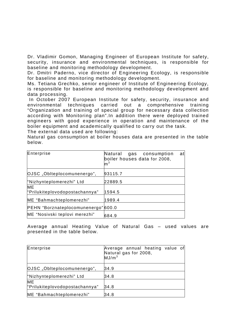Dr. Vladimir Gomon, Managing Engineer of European Institute for safety, security, insurance and environmental techniques, is responsible for baseline and monitoring methodology development.

Dr. Dmitri Paderno, vice director of Engineering Ecology, is responsible for baseline and monitoring methodology development.

Ms. Tetiana Grechko, senior engineer of Institute of Engineering Ecology, is responsible for baseline and monitoring methodology development and data processing.

 In October 2007 European Institute for safety, security, insurance and environmental techniques carried out a comprehensive training "Organization and training of special group for necessary data collection according with Monitoring plan".In addition there were deployed trained engineers with good experience in operation and maintenance of the boiler equipment and academically qualified to carry out the task.

The external data used are following:

Natural gas consumption at boiler houses data are presented in the table below.

| Enterprise                          | Natural<br>gas consumption<br>at<br>boiler houses data for 2008,<br>m <sup>3</sup> |
|-------------------------------------|------------------------------------------------------------------------------------|
| OJSC "Oblteplocomunenergo",         | 93115.7                                                                            |
| "Nizhynteplomerezhi" Ltd            | 22889.5                                                                            |
| <b>ME</b>                           | 1594.5                                                                             |
| "Prilukiteplovodopostachannya"      |                                                                                    |
| ME "Bahmachteplomerezhi"            | 1989.4                                                                             |
| PEHN "Borznateplocomunenergo" 600.0 |                                                                                    |
| ME "Nosivski teplovi merezhi"       | 684.9                                                                              |

Average annual Heating Value of Natural Gas – used values are presented in the table below.

| Enterprise                                  | Average annual heating value of<br>Natural gas for 2008,<br>MJ/m <sup>3</sup> |
|---------------------------------------------|-------------------------------------------------------------------------------|
| OJSC "Oblteplocomunenergo",                 | 34.9                                                                          |
| "Nizhynteplomerezhi" Ltd                    | 34.8                                                                          |
| <b>ME</b><br>"Prilukiteplovodopostachannya" | 34.8                                                                          |
| ME "Bahmachteplomerezhi"                    | 34.8                                                                          |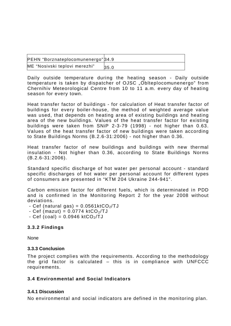| PEHN "Borznateplocomunenergo" 34.9 |      |
|------------------------------------|------|
| ME "Nosivski teplovi merezhi"      | 35.0 |

Daily outside temperature during the heating season - Daily outside temperature is taken by dispatcher of OJSC "Oblteplocomunenergo" from Chernihiv Meteorological Centre from 10 to 11 a.m. every day of heating season for every town.

Heat transfer factor of buildings - for calculation of Heat transfer factor of buildings for every boiler-house, the method of weighted average value was used, that depends on heating area of existing buildings and heating area of the new buildings. Values of the heat transfer factor for existing buildings were taken from SNiP 2-3-79 (1998) - not higher than 0.63. Values of the heat transfer factor of new buildings were taken according to State Buildings Norms (B.2.6-31:2006) - not higher than 0.36.

Heat transfer factor of new buildings and buildings with new thermal insulation - Not higher than 0.36, according to State Buildings Norms (B.2.6-31:2006).

Standard specific discharge of hot water per personal account - standard specific discharges of hot water per personal account for different types of consumers are presented in "KTM 204 Ukraine 244-941".

Carbon emission factor for different fuels, which is determinated in PDD and is confirmed in the Monitoring Report 2 for the year 2008 without deviations.

- Cef (natural gas) =  $0.0561$ ktCO<sub>2</sub>/TJ
- Cef (mazut) =  $0.0774$  ktCO<sub>2</sub>/TJ
- $-$  Cef (coal) = 0.0946 ktCO<sub>2</sub>/TJ

#### **3.3.2 Findings**

None

#### **3.3.3 Conclusion**

The project complies with the requirements. According to the methodology the grid factor is calculated – this is in compliance with UNFCCC requirements.

#### **3.4 Environmental and Social Indicators**

#### **3.4.1 Discussion**

No environmental and social indicators are defined in the monitoring plan.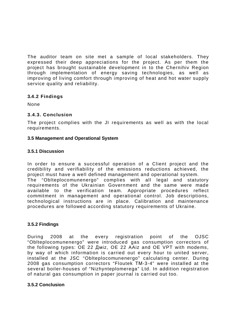The auditor team on site met a sample of local stakeholders. They expressed their deep appreciations for the project. As per them the project has brought sustainable development in to the Chernihiv Region through implementation of energy saving technologies, as well as improving of living comfort through improving of heat and hot water supply service quality and reliability.

#### **3.4.2 Findings**

None

#### **3.4.3. Conclusion**

The project complies with the JI requirements as well as with the local requirements.

#### **3.5 Management and Operational System**

#### **3.5.1 Discussion**

In order to ensure a successful operation of a Client project and the credibility and verifiability of the emissions reductions achieved, the project must have a well defined management and operational system. The "Oblteplocomunenergo" complies with all legal and statutory requirements of the Ukrainian Government and the same were made available to the verification team. Appropriate procedures reflect commitment in management and operational control. Job descriptions, technological instructions are in place. Calibration and maintenance procedures are followed according statutory requirements of Ukraine.

#### **3.5.2 Findings**

During 2008 at the every registration point of the OJSC "Oblteplocomunenergo" were introduced gas consumption correctors of the following types: OE 22 Amiz, OE 22 AAiz and OE VPT with modems, by way of which information is carried out every hour to united server, installed at the JSC "Oblteplocomunenergo" calculating center. During 2008 gas consumption correctors "Floutek TM-3-4" were installed at the several boiler-houses of "Nizhynteplomerega" Ltd. In addition registration of natural gas consumption in paper journal is carried out too.

#### **3.5.2 Conclusion**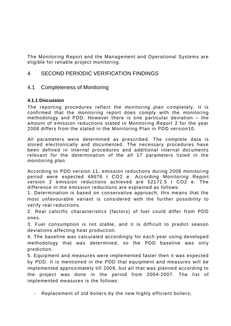The Monitoring Report and the Management and Operational Systems are eligible for reliable project monitoring.

### 4 SECOND PERIODIC VERIFICATION FINDINGS

#### 4.1 Completeness of Monitoring

#### **4.1.1 Discussion**

The reporting procedures reflect the monitoring plan completely. It is confirmed that the monitoring report does comply with the monitoring methodology and PDD. However there is one particular deviation – the amount of emission reductions stated in Monitoring Report 2 for the year 2008 differs from the stated in the Monitoring Plan in PDD version10.

All parameters were determined as prescribed. The complete data is stored electronically and documented. The necessary procedures have been defined in internal procedures and additional internal documents relevant for the determination of the all 17 parameters listed in the monitoring plan.

According to PDD version 11, emission reductions during 2008 monitoring period were expected 48676 t CO2 e. According Monitoring Report version 2 emission reductions achieved are 52172.5 t CO2 e. The difference in the emission reductions are explained as follows:

1. Determination is based on conservative approach; this means that the most unfavourable variant is considered with the further possibility to verify real reductions.

2. Real calorific characteristics (factors) of fuel could differ from PDD ones.

3. Fuel consumption is not stable, and it is difficult to predict season deviations affecting heat production.

4. The baseline was calculated accordingly for each year using developed methodology that was determined, so the PDD baseline was only prediction.

5. Equipment and measures were implemented faster then it was expected by PDD. It is mentioned in the PDD that equipment and measures will be implemented approximately till 2009, but all that was planned according to the project was done in the period from 2004-2007. The list of implemented measures is the follows:

- Replacement of old boilers by the new highly efficient boilers;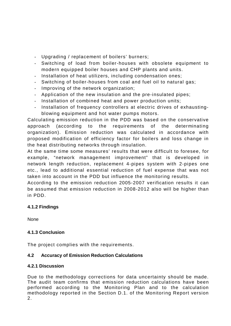- Upgrading / replacement of boilers' burners;
- Switching of load from boiler-houses with obsolete equipment to modern equipped boiler houses and CHP plants and units.
- Installation of heat utilizers, including condensation ones;
- Switching of boiler-houses from coal and fuel oil to natural gas;
- Improving of the network organization;
- Application of the new insulation and the pre-insulated pipes;
- Installation of combined heat and power production units;
- Installation of frequency controllers at electric drives of exhaustingblowing equipment and hot water pumps motors.

Calculating emission reduction in the PDD was based on the conservative approach (according to the requirements of the determinating organization). Emission reduction was calculated in accordance with proposed modification of efficiency factor for boilers and loss change in the heat distributing networks through insulation.

At the same time some measures' results that were difficult to foresee, for example, "network management improvement" that is developed in network length reduction, replacement 4-pipes system with 2-pipes one etc., lead to additional essential reduction of fuel expense that was not taken into account in the PDD but influence the monitoring results.

According to the emission reduction 2005-2007 verification results it can be assumed that emission reduction in 2008-2012 also will be higher than in PDD.

#### **4.1.2 Findings**

None

#### **4.1.3 Conclusion**

The project complies with the requirements.

#### **4.2 Accuracy of Emission Reduction Calculations**

#### **4.2.1 Discussion**

Due to the methodology corrections for data uncertainty should be made. The audit team confirms that emission reduction calculations have been performed according to the Monitoring Plan and to the calculation methodology reported in the Section D.1. of the Monitoring Report version 2.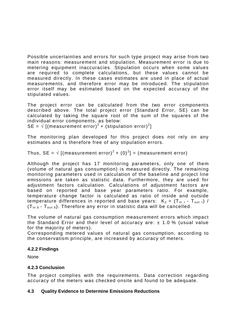Possible uncertainties and errors for such type project may arise from two main reasons: measurement and stipulation. Measurement error is due to metering equipment inaccuracies. Stipulation occurs when some values are required to complete calculations, but these values cannot be measured directly. In these cases estimates are used in place of actual measurements, and therefore error may be introduced. The stipulation error itself may be estimated based on the expected accuracy of the stipulated values.

The project error can be calculated from the two error components described above. The total project error (Standard Error, SE) can be calculated by taking the square root of the sum of the squares of the individual error components, as below:

SE =  $\sqrt{\left[(\text{measurement error})^2 + (\text{stipulation error})^2\right]}$ 

The monitoring plan developed for this project does not rely on any estimates and is therefore free of any stipulation errors.

Thus, SE =  $\sqrt{2}$  [(measurement error)<sup>2</sup> + (0)<sup>2</sup>] = (measurement error)

Although the project has 17 monitoring parameters, only one of them (volume of natural gas consumption) is measured directly. The remaining monitoring parameters used in calculation of the baseline and project line emissions are taken as statistic data. Furthermore, they are used for adjustment factors calculation. Calculations of adjustment factors are based on reported and base year parameters ratio. For example, temperature change factor is calculated as ratio of inside and outside temperature differences in reported and base years:  $K_2 = (T_{\text{in}} - T_{\text{out}}) /$  $(T_{in b} - T_{out b})$ . Therefore any error in statistic data will be cancelled.

The volume of natural gas consumption measurement errors which impact the Standard Error and their level of accuracy are:  $\pm$  1.0 % (usual value for the majority of meters).

Corresponding metered values of natural gas consumption, according to the conservatism principle, are increased by accuracy of meters.

#### **4.2.2 Findings**

None

#### **4.2.3 Conclusion**

The project complies with the requirements. Data correction regarding accuracy of the meters was checked onsite and found to be adequate.

#### **4.3 Quality Evidence to Determine Emissions Reductions**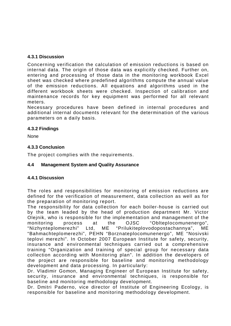#### **4.3.1 Discussion**

Concerning verification the calculation of emission reductions is based on internal data. The origin of those data was explicitly checked. Further on, entering and processing of those data in the monitoring workbook Excel sheet was checked where predefined algorithms compute the annual value of the emission reductions. All equations and algorithms used in the different workbook sheets were checked. Inspection of calibration and maintenance records for key equipment was performed for all relevant meters.

Necessary procedures have been defined in internal procedures and additional internal documents relevant for the determination of the various parameters on a daily basis.

#### **4.3.2 Findings**

None

#### **4.3.3 Conclusion**

The project complies with the requirements.

#### **4.4 Management System and Quality Assurance**

#### **4.4.1 Discussion**

The roles and responsibilities for monitoring of emission reductions are defined for the verification of measurement, data collection as well as for the preparation of monitoring report.

The responsibility for data collection for each boiler-house is carried out by the team leaded by the head of production department Mr. Victor Olejnik, who is responsible for the implementation and management of the monitoring process at the OJSC "Oblteplocomunenergo", "Nizhynteplomerezhi" Ltd, ME "Prilukiteplovodopostachannya", ME "Bahmachteplomerezhi", PEHN "Borznateplocomunenergo", ME "Nosivski teplovi merezhi". In October 2007 European Institute for safety, security, insurance and environmental techniques carried out a comprehensive training "Organization and training of special group for necessary data collection according with Monitoring plan". In addition the developers of the project are responsible for baseline and monitoring methodology development and data processing. In particularly:

Dr. Vladimir Gomon, Managing Engineer of European Institute for safety, security, insurance and environmental techniques, is responsible for baseline and monitoring methodology development.

Dr. Dmitri Paderno, vice director of Institute of Engineering Ecology, is responsible for baseline and monitoring methodology development.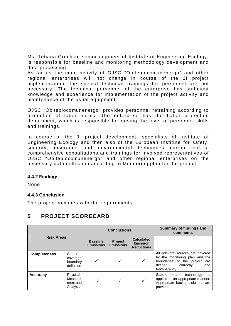Ms. Tetiana Grechko, senior engineer of Institute of Engineering Ecology, is responsible for baseline and monitoring methodology development and data processing.

As far as the main activity of OJSC "Oblteplocomunenergo" and other regional enterprises will not change in course of the JI project implementation, the special technical trainings for personnel are not necessary. The technical personnel of the enterprise has sufficient knowledge and experience for implementation of the project activity and maintenance of the usual equipment.

OJSC "Oblteplocomunenergo" provides personnel retraining according to protection of labor norms. The enterprise has the Labor protection department, which is responsible for raising the level of personnel skills and trainings.

In course of the JI project development, specialists of Institute of Engineering Ecology and then also of the European Institute for safety, security, insurance and environmental techniques carried out a comprehensive consultations and trainings for involved representatives of OJSC "Oblteplocomunenergo" and other regional enterprises on the necessary data collection according to Monitoring plan for the project.

#### **4.4.2 Findings**

None

#### **4.4.3 Conclusion**

The project complies with the requirements.

## **5 PROJECT SCORECARD**

| <b>Risk Areas</b>   |                                               | <b>Conclusions</b>                  |                             |                                                           | <b>Summary of findings and</b><br>comments                                                                                                              |
|---------------------|-----------------------------------------------|-------------------------------------|-----------------------------|-----------------------------------------------------------|---------------------------------------------------------------------------------------------------------------------------------------------------------|
|                     |                                               | <b>Baseline</b><br><b>Emissions</b> | Project<br><b>Emissions</b> | <b>Calculated</b><br><b>Emission</b><br><b>Reductions</b> |                                                                                                                                                         |
| <b>Completeness</b> | Source<br>coverage/<br>boundary<br>definition |                                     |                             | ✓                                                         | All relevant sources are covered<br>by the monitoring plan and the<br>boundaries of the project<br>are<br>defined<br>correctly<br>and<br>transparently. |
| <b>Accuracy</b>     | Physical<br>Measure<br>ment and<br>Analysis   |                                     | $\checkmark$                | ✓                                                         | is<br>State-of-the-art<br>technology<br>applied in an appropriate manner.<br>Appropriate backup solutions are<br>provided.                              |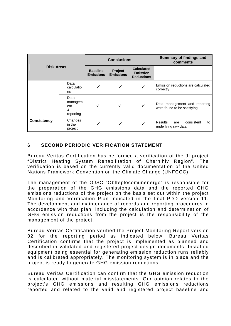| <b>Risk Areas</b>  |                                          | <b>Conclusions</b>                  |                             |                                                           | Summary of findings and<br>comments                               |
|--------------------|------------------------------------------|-------------------------------------|-----------------------------|-----------------------------------------------------------|-------------------------------------------------------------------|
|                    |                                          | <b>Baseline</b><br><b>Emissions</b> | Project<br><b>Emissions</b> | <b>Calculated</b><br><b>Emission</b><br><b>Reductions</b> |                                                                   |
|                    | Data<br>calculatio<br>ns                 |                                     | ✓                           | √                                                         | Emission reductions are calculated<br>correctly                   |
|                    | Data<br>managem<br>ent<br>&<br>reporting | ✓                                   | ✓                           | $\checkmark$                                              | Data management and reporting<br>were found to be satisfying.     |
| <b>Consistency</b> | Changes<br>in the<br>project             | ✓                                   | ✓                           |                                                           | <b>Results</b><br>consistent<br>are<br>to<br>underlying raw data. |

#### **6 SECOND PERIODIC VERIFICATION STATEMENT**

Bureau Veritas Certification has performed a verification of the JI project "District Heating System Rehabilitation of Chernihiv Region". The verification is based on the currently valid documentation of the United Nations Framework Convention on the Climate Change (UNFCCC).

The management of the OJSC "Oblteplocomunenergo" is responsible for the preparation of the GHG emissions data and the reported GHG emissions reductions of the project on the basis set out within the project Monitoring and Verification Plan indicated in the final PDD version 11. The development and maintenance of records and reporting procedures in accordance with that plan, including the calculation and determination of GHG emission reductions from the project is the responsibility of the management of the project.

Bureau Veritas Certification verified the Project Monitoring Report version 02 for the reporting period as indicated below. Bureau Veritas Certification confirms that the project is implemented as planned and described in validated and registered project design documents. Installed equipment being essential for generating emission reduction runs reliably and is calibrated appropriately. The monitoring system is in place and the project is ready to generate GHG emission reductions.

Bureau Veritas Certification can confirm that the GHG emission reduction is calculated without material misstatements. Our opinion relates to the project's GHG emissions and resulting GHG emissions reductions reported and related to the valid and registered project baseline and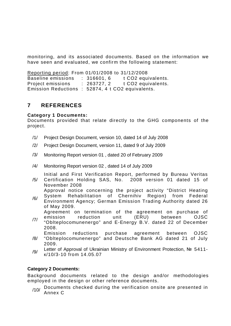monitoring, and its associated documents. Based on the information we have seen and evaluated, we confirm the following statement:

Reporting period: From 01/01/2008 to 31/12/2008 Baseline emissions : 316601, 6 t CO2 equivalents. Project emissions : 263727, 2 t CO2 equivalents. Emission Reductions : 52874, 4 t CO2 equivalents.

## **7 REFERENCES**

#### **Category 1 Documents:**

Documents provided that relate directly to the GHG components of the project.

- /1/ Project Design Document, version 10, dated 14 of July 2008
- /2/ Project Design Document, version 11, dated 9 of July 2009
- /3/ Monitoring Report version 01 , dated 20 of February 2009
- /4/ Monitoring Report version 02 , dated 14 of July 2009

/5/ Initial and First Verification Report, performed by Bureau Veritas Certification Holding SAS, No. 2008 version 01 dated 15 of

November 2008

Approval notice concerning the project activity "District Heating System Rehabilitation of Chernihiv Region) from Federal

/6/ Environment Agency; German Emission Trading Authority dated 26 of May 2009.

Agreement on termination of the agreement on purchase of

/7/ emission reduction unit (ERU) between OJSC "Oblteplocomunenergo" and E-Energy B.V. dated 22 of December 2008.

Emission reductions purchase agreement between OJSC

- /8/ "Oblteplocomunenergo" and Deutsche Bank AG dated 21 of July 2009.
- /9/ Letter of Approval of Ukrainian Ministry of Environment Protection, Nº 5411ɤ/10/3-10 from 14.05.07

#### **Category 2 Documents:**

Background documents related to the design and/or methodologies employed in the design or other reference documents.

 $/10/$  Documents checked during the verification onsite are presented in Annex C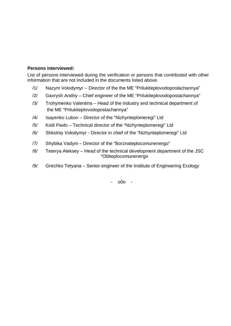#### **Persons interviewed:**

List of persons interviewed during the verification or persons that contributed with other information that are not included in the documents listed above.

- /1/ Nazym Volodymyr Director of the the ME "Prilukiteplovodopostachannya"
- /2/ Gavrysh Andriy Chief engineer of the ME "Prilukiteplovodopostachannya"
- /3/ Trohymenko Valentina Head of the industry and technical department of the ME "Prilukiteplovodopostachannya"
- /4/ Isayenko Lubov Director of the "Nizhynteplomeregi" Ltd
- /5/ Kotil Pavlo Technical director of the "Nizhynteplomeregi" Ltd
- /6/ Shkolniy Volodymyr Director in chief of the "Nizhynteplomeregi" Ltd
- /7/ Shybika Vadym Director of the "Borznateplocomunenergo"
- /8/ Teterya Aleksey Head of the technical development department of the JSC "Oblteplocomunenergo
- /9/ Grechko Tetyana Senior engineer of the Institute of Engineering Ecology

- o0o -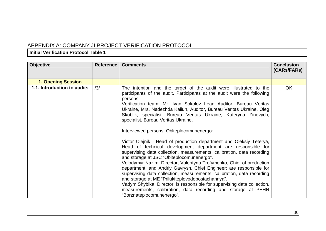## APPENDIX A: COMPANY JI PROJECT VERIFICATION PROTOCOL

#### **Initial Verification Protocol Table 1**

| <b>Objective</b>            | <b>Reference</b> | <b>Comments</b>                                                                                                                                                                                                                                                                                                                                                                                                                                                                                                                                                                                                                                                                                                                                                                                                                                                                                                                                                                                                                                                                                                                                                                  | <b>Conclusion</b><br>(CARs/FARs) |
|-----------------------------|------------------|----------------------------------------------------------------------------------------------------------------------------------------------------------------------------------------------------------------------------------------------------------------------------------------------------------------------------------------------------------------------------------------------------------------------------------------------------------------------------------------------------------------------------------------------------------------------------------------------------------------------------------------------------------------------------------------------------------------------------------------------------------------------------------------------------------------------------------------------------------------------------------------------------------------------------------------------------------------------------------------------------------------------------------------------------------------------------------------------------------------------------------------------------------------------------------|----------------------------------|
| <b>1. Opening Session</b>   |                  |                                                                                                                                                                                                                                                                                                                                                                                                                                                                                                                                                                                                                                                                                                                                                                                                                                                                                                                                                                                                                                                                                                                                                                                  |                                  |
| 1.1. Introduction to audits | /3/              | The intention and the target of the audit were illustrated to the<br>participants of the audit. Participants at the audit were the following<br>persons:<br>Verification team: Mr. Ivan Sokolov Lead Auditor, Bureau Veritas<br>Ukraine, Mrs. Nadezhda Kaiiun, Auditor, Bureau Veritas Ukraine, Oleg<br>Skoblik, specialist, Bureau Veritas Ukraine, Kateryna Zinevych,<br>specialist, Bureau Veritas Ukraine.<br>Interviewed persons: Oblteplocomunenergo:<br>Victor Olejnik, Head of production department and Oleksiy Teterya,<br>Head of technical development department are responsible for<br>supervising data collection, measurements, calibration, data recording<br>and storage at JSC "Oblteplocomunenergo".<br>Volodymyr Nazim, Director, Valentyna Trofymenko, Chief of production<br>department, and Andriy Gavrysh, Chief Engineer; are responsible for<br>supervising data collection, measurements, calibration, data recording<br>and storage at ME "Prilukiteplovodopostachannya".<br>Vadym Shybika, Director, is responsible for supervising data collection,<br>measurements, calibration, data recording and storage at PEHN<br>"Borznateplocomunenergo". | OK                               |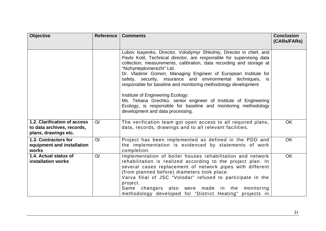| <b>Objective</b>                                                                   | <b>Reference</b> | <b>Comments</b>                                                                                                                                                                                                                                                                                                                                                                                                                                                                                                                                                                                                                          | <b>Conclusion</b><br>(CARs/FARs) |
|------------------------------------------------------------------------------------|------------------|------------------------------------------------------------------------------------------------------------------------------------------------------------------------------------------------------------------------------------------------------------------------------------------------------------------------------------------------------------------------------------------------------------------------------------------------------------------------------------------------------------------------------------------------------------------------------------------------------------------------------------------|----------------------------------|
|                                                                                    |                  | Lubov Isayenko, Director, Volodymyr Shkolniy, Director in chief, and<br>Pavlo Kotil, Technical director, are responsible for supervising data<br>collection, measurements, calibration, data recording and storage at<br>"Nizhynteplomerezhi" Ltd.<br>Dr. Vladimir Gomon, Managing Engineer of European Institute for<br>safety, security, insurance and environmental techniques,<br>is.<br>responsible for baseline and monitoring methodology development<br>Institute of Engineering Ecology:<br>Ms. Tetiana Grechko, senior engineer of Institute of Engineering<br>Ecology, is responsible for baseline and monitoring methodology |                                  |
|                                                                                    |                  | development and data processing.                                                                                                                                                                                                                                                                                                                                                                                                                                                                                                                                                                                                         |                                  |
| 1.2. Clarification of access<br>to data archives, records,<br>plans, drawings etc. | /3/              | The verification team got open access to all required plans,<br>data, records, drawings and to all relevant facilities.                                                                                                                                                                                                                                                                                                                                                                                                                                                                                                                  | <b>OK</b>                        |
| 1.3. Contractors for<br>equipment and installation<br>works                        | /3/              | Project has been implemented as defined in the PDD and<br>the implementation is evidenced by statements of work<br>completion.                                                                                                                                                                                                                                                                                                                                                                                                                                                                                                           | OK                               |
| 1.4. Actual status of<br><b>installation works</b>                                 | /3/              | Implementation of boiler houses rehabilitation and network<br>rehabilitation is realized according to the project plan. In<br>several cases replacement of network pipes with different<br>(from planned before) diameters took place.<br>Varva filial of JSC "Volodar" refused to participate in the<br>project.<br>Same changers also were made in the monitoring<br>methodology developed for "District Heating" projects in                                                                                                                                                                                                          | <b>OK</b>                        |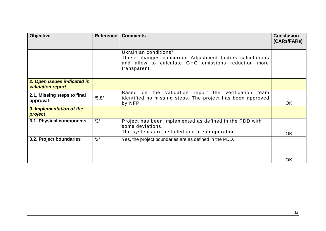| <b>Objective</b>                                        | <b>Reference</b> | <b>Comments</b>                                                                                                                                          | <b>Conclusion</b><br>(CARS/FARS) |
|---------------------------------------------------------|------------------|----------------------------------------------------------------------------------------------------------------------------------------------------------|----------------------------------|
|                                                         |                  | Ukrainian conditions".<br>Those changes concerned Adjustment factors calculations<br>and allow to calculate GHG emissions reduction more<br>transparent. |                                  |
| 2. Open issues indicated in<br><b>validation report</b> |                  |                                                                                                                                                          |                                  |
| 2.1. Missing steps to final<br>approval                 | /5, 8/           | Based<br>on the validation report the verification team<br>identified no missing steps. The project has been approved<br>by NFP.                         | <b>OK</b>                        |
| 3. Implementation of the<br>project                     |                  |                                                                                                                                                          |                                  |
| 3.1. Physical components                                | /3/              | Project has been implemented as defined in the PDD with<br>some deviations.<br>The systems are installed and are in operation.                           | <b>OK</b>                        |
| 3.2. Project boundaries                                 | /3/              | Yes, the project boundaries are as defined in the PDD.                                                                                                   |                                  |
|                                                         |                  |                                                                                                                                                          | OK                               |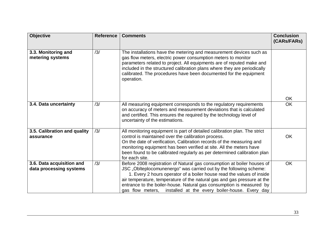| <b>Objective</b>                                     | <b>Reference</b> | <b>Comments</b>                                                                                                                                                                                                                                                                                                                                                                                                                              | <b>Conclusion</b><br>(CARs/FARs) |
|------------------------------------------------------|------------------|----------------------------------------------------------------------------------------------------------------------------------------------------------------------------------------------------------------------------------------------------------------------------------------------------------------------------------------------------------------------------------------------------------------------------------------------|----------------------------------|
| 3.3. Monitoring and<br>metering systems              | /3/              | The installations have the metering and measurement devices such as<br>gas flow meters, electric power consumption meters to monitor<br>parameters related to project. All equipments are of reputed make and<br>included in the structured calibration plans where they are periodically<br>calibrated. The procedures have been documented for the equipment<br>operation.                                                                 |                                  |
| 3.4. Data uncertainty                                | /3/              |                                                                                                                                                                                                                                                                                                                                                                                                                                              | OK<br><b>OK</b>                  |
|                                                      |                  | All measuring equipment corresponds to the regulatory requirements<br>on accuracy of meters and measurement deviations that is calculated<br>and certified. This ensures the required by the technology level of<br>uncertainty of the estimations.                                                                                                                                                                                          |                                  |
| 3.5. Calibration and quality<br>assurance            | /3/              | All monitoring equipment is part of detailed calibration plan. The strict<br>control is maintained over the calibration process.<br>On the date of verification, Calibration records of the measuring and<br>monitoring equipment has been verified at site. All the meters have<br>been found to be calibrated regularly as per determined calibration plan<br>for each site.                                                               | <b>OK</b>                        |
| 3.6. Data acquisition and<br>data processing systems | /3/              | Before 2008 registration of Natural gas consumption at boiler houses of<br>JSC "Oblteplocomunenergo" was carried out by the following scheme:<br>1. Every 2 hours operator of a boiler house read the values of inside<br>air temperature, temperature of the natural gas and gas pressure at the<br>entrance to the boiler-house. Natural gas consumption is measured by<br>gas flow meters, installed at the every boiler-house. Every day | <b>OK</b>                        |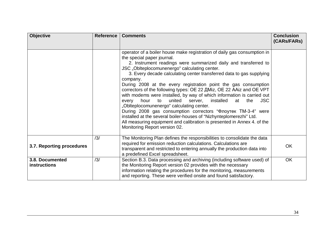| <b>Objective</b>                       | <b>Reference</b> | <b>Comments</b>                                                                                                                                                                                                                                                                                                                                                                                                                                                                                                                                                                                                                                                                                                                                                                                                                                                                                                      | <b>Conclusion</b><br>(CARs/FARs) |
|----------------------------------------|------------------|----------------------------------------------------------------------------------------------------------------------------------------------------------------------------------------------------------------------------------------------------------------------------------------------------------------------------------------------------------------------------------------------------------------------------------------------------------------------------------------------------------------------------------------------------------------------------------------------------------------------------------------------------------------------------------------------------------------------------------------------------------------------------------------------------------------------------------------------------------------------------------------------------------------------|----------------------------------|
|                                        |                  | operator of a boiler house make registration of daily gas consumption in<br>the special paper journal.<br>2. Instrument readings were summarized daily and transferred to<br>JSC "Oblteplocomunenergo" calculating center.<br>3. Every decade calculating center transferred data to gas supplying<br>company.<br>During 2008 at the every registration point the gas consumption<br>correctors of the following types: OE 22 AMiz, OE 22 AAiz and OE VPT<br>with modems were installed, by way of which information is carried out<br>united server,<br>installed<br><b>JSC</b><br>hour<br>to<br>the<br>every<br>at<br>"Oblteplocomunenergo" calculating center.<br>During 2008 gas consumption correctors "Флоутек ТМ-3-4" were<br>installed at the several boiler-houses of "Nizhynteplomerezhi" Ltd.<br>All measuring equipment and calibration is presented in Annex 4. of the<br>Monitoring Report version 02. |                                  |
| 3.7. Reporting procedures              | /3/              | The Monitoring Plan defines the responsibilities to consolidate the data<br>required for emission reduction calculations. Calculations are<br>transparent and restricted to entering annually the production data into<br>a predefined Excel spreadsheet.                                                                                                                                                                                                                                                                                                                                                                                                                                                                                                                                                                                                                                                            | <b>OK</b>                        |
| 3.8. Documented<br><b>instructions</b> | /3/              | Section B.3. Data processing and archiving (including software used) of<br>the Monitoring Report version 02 provides with the necessary<br>information relating the procedures for the monitoring, measurements<br>and reporting. These were verified onsite and found satisfactory.                                                                                                                                                                                                                                                                                                                                                                                                                                                                                                                                                                                                                                 | OK                               |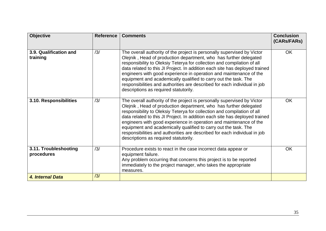| <b>Objective</b>                    | <b>Reference</b> | <b>Comments</b>                                                                                                                                                                                                                                                                                                                                                                                                                                                                                                                                                       | <b>Conclusion</b><br>(CARs/FARs) |
|-------------------------------------|------------------|-----------------------------------------------------------------------------------------------------------------------------------------------------------------------------------------------------------------------------------------------------------------------------------------------------------------------------------------------------------------------------------------------------------------------------------------------------------------------------------------------------------------------------------------------------------------------|----------------------------------|
| 3.9. Qualification and<br>training  | /3/              | The overall authority of the project is personally supervised by Victor<br>Olejnik, Head of production department, who has further delegated<br>responsibility to Oleksiy Teterya for collection and compilation of all<br>data related to this JI Project. In addition each site has deployed trained<br>engineers with good experience in operation and maintenance of the<br>equipment and academically qualified to carry out the task. The<br>responsibilities and authorities are described for each individual in job<br>descriptions as required statutorily. | OK                               |
| 3.10. Responsibilities              | /3/              | The overall authority of the project is personally supervised by Victor<br>Olejnik, Head of production department, who has further delegated<br>responsibility to Oleksiy Teterya for collection and compilation of all<br>data related to this JI Project. In addition each site has deployed trained<br>engineers with good experience in operation and maintenance of the<br>equipment and academically qualified to carry out the task. The<br>responsibilities and authorities are described for each individual in job<br>descriptions as required statutorily. | <b>OK</b>                        |
| 3.11. Troubleshooting<br>procedures | /3/              | Procedure exists to react in the case incorrect data appear or<br>equipment failure.<br>Any problem occurring that concerns this project is to be reported<br>immediately to the project manager, who takes the appropriate<br>measures.                                                                                                                                                                                                                                                                                                                              | <b>OK</b>                        |
| 4. Internal Data                    | /3/              |                                                                                                                                                                                                                                                                                                                                                                                                                                                                                                                                                                       |                                  |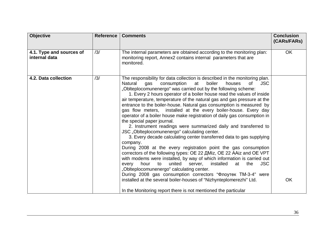| <b>Objective</b>                          | <b>Reference</b> | <b>Comments</b>                                                                                                                                                                                                                                                                                                                                                                                                                                                                                                                                                                                                                                                                                                                                                                                                                                                                                                                                                                                                                                                                                                                                                                                                                                                                                                                                                                                              | <b>Conclusion</b><br>(CARs/FARs) |
|-------------------------------------------|------------------|--------------------------------------------------------------------------------------------------------------------------------------------------------------------------------------------------------------------------------------------------------------------------------------------------------------------------------------------------------------------------------------------------------------------------------------------------------------------------------------------------------------------------------------------------------------------------------------------------------------------------------------------------------------------------------------------------------------------------------------------------------------------------------------------------------------------------------------------------------------------------------------------------------------------------------------------------------------------------------------------------------------------------------------------------------------------------------------------------------------------------------------------------------------------------------------------------------------------------------------------------------------------------------------------------------------------------------------------------------------------------------------------------------------|----------------------------------|
| 4.1. Type and sources of<br>internal data | /3/              | The internal parameters are obtained according to the monitoring plan:<br>monitoring report, Annex2 contains internal parameters that are<br>monitored.                                                                                                                                                                                                                                                                                                                                                                                                                                                                                                                                                                                                                                                                                                                                                                                                                                                                                                                                                                                                                                                                                                                                                                                                                                                      | <b>OK</b>                        |
| 4.2. Data collection                      | /3/              | The responsibility for data collection is described in the monitoring plan.<br>consumption<br>Natural<br>boiler<br>houses<br>0f<br><b>JSC</b><br>qas<br>at<br>"Oblteplocomunenergo" was carried out by the following scheme:<br>1. Every 2 hours operator of a boiler house read the values of inside<br>air temperature, temperature of the natural gas and gas pressure at the<br>entrance to the boiler-house. Natural gas consumption is measured by<br>gas flow meters, installed at the every boiler-house. Every day<br>operator of a boiler house make registration of daily gas consumption in<br>the special paper journal.<br>2. Instrument readings were summarized daily and transferred to<br>JSC "Oblteplocomunenergo" calculating center.<br>3. Every decade calculating center transferred data to gas supplying<br>company.<br>During 2008 at the every registration point the gas consumption<br>correctors of the following types: OE 22 AMiz, OE 22 AAiz and OE VPT<br>with modems were installed, by way of which information is carried out<br>the<br>hour<br>united<br>installed<br><b>JSC</b><br>to<br>server,<br>at<br>every<br>"Oblteplocomunenergo" calculating center.<br>During 2008 gas consumption correctors "Флоутек ТМ-3-4" were<br>installed at the several boiler-houses of "Nizhynteplomerezhi" Ltd.<br>In the Monitoring report there is not mentioned the particular | <b>OK</b>                        |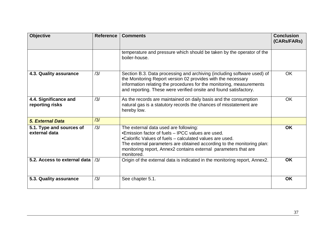| <b>Objective</b>                          | <b>Reference</b> | <b>Comments</b>                                                                                                                                                                                                                                                                                                   | <b>Conclusion</b><br>(CARs/FARs) |
|-------------------------------------------|------------------|-------------------------------------------------------------------------------------------------------------------------------------------------------------------------------------------------------------------------------------------------------------------------------------------------------------------|----------------------------------|
|                                           |                  | temperature and pressure which should be taken by the operator of the<br>boiler-house.                                                                                                                                                                                                                            |                                  |
| 4.3. Quality assurance                    | /3/              | Section B.3. Data processing and archiving (including software used) of<br>the Monitoring Report version 02 provides with the necessary<br>information relating the procedures for the monitoring, measurements<br>and reporting. These were verified onsite and found satisfactory.                              | <b>OK</b>                        |
| 4.4. Significance and<br>reporting risks  | /3/              | As the records are maintained on daily basis and the consumption<br>natural gas is a statutory records the chances of misstatement are<br>hereby low.                                                                                                                                                             | OK                               |
| <b>5. External Data</b>                   | /3/              |                                                                                                                                                                                                                                                                                                                   |                                  |
| 5.1. Type and sources of<br>external data | /3/              | The external data used are following:<br>•Emission factor of fuels – IPCC values are used.<br>•Calorific Values of fuels – calculated values are used.<br>The external parameters are obtained according to the monitoring plan:<br>monitoring report, Annex2 contains external parameters that are<br>monitored. | <b>OK</b>                        |
| 5.2. Access to external data              | /3/              | Origin of the external data is indicated in the monitoring report, Annex2.                                                                                                                                                                                                                                        | <b>OK</b>                        |
| 5.3. Quality assurance                    | /3/              | See chapter 5.1.                                                                                                                                                                                                                                                                                                  | <b>OK</b>                        |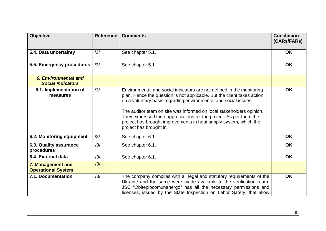| <b>Objective</b>                                 | <b>Reference</b> | <b>Comments</b>                                                                                                                                                                                                                                                                                                                                                                                                                                                    | <b>Conclusion</b><br>(CARs/FARs) |
|--------------------------------------------------|------------------|--------------------------------------------------------------------------------------------------------------------------------------------------------------------------------------------------------------------------------------------------------------------------------------------------------------------------------------------------------------------------------------------------------------------------------------------------------------------|----------------------------------|
| 5.4. Data uncertainty                            | /3/              | See chapter 5.1.                                                                                                                                                                                                                                                                                                                                                                                                                                                   | <b>OK</b>                        |
| 5.5. Emergency procedures                        | /3/              | See chapter 5.1.                                                                                                                                                                                                                                                                                                                                                                                                                                                   | <b>OK</b>                        |
| 6. Environmental and<br><b>Social Indicators</b> |                  |                                                                                                                                                                                                                                                                                                                                                                                                                                                                    |                                  |
| 6.1. Implementation of<br>measures               | /3/              | Environmental and social indicators are not defined in the monitoring<br>plan. Hence the question is not applicable. But the client takes action<br>on a voluntary basis regarding environmental and social issues:<br>The auditor team on site was informed on local stakeholders opinion.<br>They expressed their appreciations for the project. As per them the<br>project has brought improvements in heat supply system, which the<br>project has brought in. | <b>OK</b>                        |
| 6.2. Monitoring equipment                        | /3/              | See chapter 6.1.                                                                                                                                                                                                                                                                                                                                                                                                                                                   | <b>OK</b>                        |
| 6.3. Quality assurance<br>procedures             | /3/              | See chapter 6.1.                                                                                                                                                                                                                                                                                                                                                                                                                                                   | <b>OK</b>                        |
| 6.4. External data                               | /3/              | See chapter 6.1.                                                                                                                                                                                                                                                                                                                                                                                                                                                   | <b>OK</b>                        |
| 7. Management and<br><b>Operational System</b>   | /3/              |                                                                                                                                                                                                                                                                                                                                                                                                                                                                    |                                  |
| 7.1. Documentation                               | /3/              | The company complies with all legal and statutory requirements of the<br>Ukraine and the same were made available to the verification team.<br>JSC "Oblteplocomunenergo" has all the necessary permissions and<br>licenses, issued by the State Inspection on Labor Safety, that allow                                                                                                                                                                             | <b>OK</b>                        |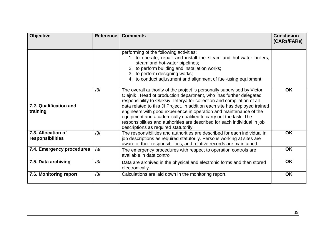| <b>Objective</b>                       | <b>Reference</b> | <b>Comments</b>                                                                                                                                                                                                                                                                                                                                                                                                                                                                                                                                                       | <b>Conclusion</b><br>(CARs/FARs) |
|----------------------------------------|------------------|-----------------------------------------------------------------------------------------------------------------------------------------------------------------------------------------------------------------------------------------------------------------------------------------------------------------------------------------------------------------------------------------------------------------------------------------------------------------------------------------------------------------------------------------------------------------------|----------------------------------|
|                                        |                  | performing of the following activities:<br>1. to operate, repair and install the steam and hot-water boilers,<br>steam and hot-water pipelines;<br>2. to perform building and installation works;<br>3. to perform designing works;<br>4. to conduct adjustment and alignment of fuel-using equipment.                                                                                                                                                                                                                                                                |                                  |
| 7.2. Qualification and<br>training     | /3/              | The overall authority of the project is personally supervised by Victor<br>Olejnik, Head of production department, who has further delegated<br>responsibility to Oleksiy Teterya for collection and compilation of all<br>data related to this JI Project. In addition each site has deployed trained<br>engineers with good experience in operation and maintenance of the<br>equipment and academically qualified to carry out the task. The<br>responsibilities and authorities are described for each individual in job<br>descriptions as required statutorily. | <b>OK</b>                        |
| 7.3. Allocation of<br>responsibilities | /3/              | The responsibilities and authorities are described for each individual in<br>job descriptions as required statutorily. Persons working at sites are<br>aware of their responsibilities, and relative records are maintained.                                                                                                                                                                                                                                                                                                                                          | <b>OK</b>                        |
| 7.4. Emergency procedures              | /3/              | The emergency procedures with respect to operation controls are<br>available in data control                                                                                                                                                                                                                                                                                                                                                                                                                                                                          | <b>OK</b>                        |
| 7.5. Data archiving                    | /3/              | Data are archived in the physical and electronic forms and then stored<br>electronically.                                                                                                                                                                                                                                                                                                                                                                                                                                                                             | <b>OK</b>                        |
| 7.6. Monitoring report                 | /3/              | Calculations are laid down in the monitoring report.                                                                                                                                                                                                                                                                                                                                                                                                                                                                                                                  | <b>OK</b>                        |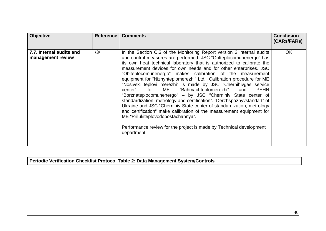| <b>Objective</b>                              | <b>Reference</b> | <b>Comments</b>                                                                                                                                                                                                                                                                                                                                                                                                                                                                                                                                                                                                                                                                                                                                                                                                                                                                                                                                                                       | <b>Conclusion</b><br>(CARs/FARs) |
|-----------------------------------------------|------------------|---------------------------------------------------------------------------------------------------------------------------------------------------------------------------------------------------------------------------------------------------------------------------------------------------------------------------------------------------------------------------------------------------------------------------------------------------------------------------------------------------------------------------------------------------------------------------------------------------------------------------------------------------------------------------------------------------------------------------------------------------------------------------------------------------------------------------------------------------------------------------------------------------------------------------------------------------------------------------------------|----------------------------------|
| 7.7. Internal audits and<br>management review | /3/              | In the Section C.3 of the Monitoring Report version 2 internal audits<br>and control measures are performed. JSC "Oblteplocomunenergo" has<br>its own heat technical laboratory that is authorized to calibrate the<br>measurement devices for own needs and for other enterprises. JSC<br>"Oblteplocomunenergo" makes calibration of the measurement<br>equipment for "Nizhynteplomerezhi" Ltd. Calibration procedure for ME<br>"Nosivski teplovi merezhi" is made by JSC "Chernihivgas service<br>center", for ME "Bahmachteplomerezhi" and<br><b>PEHN</b><br>"Borznateplocomunenergo" - by JSC "Chernihiv State center of<br>standardization, metrology and certification". "Derzhspozhyvstandart" of<br>Ukraine and JSC "Chernihiv State center of standardization, metrology<br>and certification" make calibration of the measurement equipment for<br>ME "Prilukiteplovodopostachannya".<br>Performance review for the project is made by Technical development<br>department. | <b>OK</b>                        |

**Periodic Verification Checklist Protocol Table 2: Data Management System/Controls**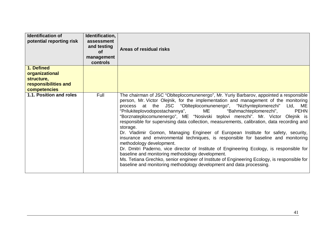| <b>Identification of</b><br>potential reporting risk                                      | Identification,<br>assessment<br>and testing<br><b>of</b><br>management<br>controls | Areas of residual risks                                                                                                                                                                                                                                                                                                                                                                                                                                                                                                                                                                                                                                                                                                                                                                                                                                                                                                                                                                                                                                                      |
|-------------------------------------------------------------------------------------------|-------------------------------------------------------------------------------------|------------------------------------------------------------------------------------------------------------------------------------------------------------------------------------------------------------------------------------------------------------------------------------------------------------------------------------------------------------------------------------------------------------------------------------------------------------------------------------------------------------------------------------------------------------------------------------------------------------------------------------------------------------------------------------------------------------------------------------------------------------------------------------------------------------------------------------------------------------------------------------------------------------------------------------------------------------------------------------------------------------------------------------------------------------------------------|
| 1. Defined<br>organizational<br>structure,<br>responsibilities and<br><b>competencies</b> |                                                                                     |                                                                                                                                                                                                                                                                                                                                                                                                                                                                                                                                                                                                                                                                                                                                                                                                                                                                                                                                                                                                                                                                              |
| 1.1. Position and roles                                                                   | Full                                                                                | The chairman of JSC "Oblteplocomunenergo", Mr. Yuriy Barbarov, appointed a responsible<br>person, Mr. Victor Olejnik, for the implementation and management of the monitoring<br>process at the JSC "Oblteplocomunenergo", "Nizhynteplomerezhi" Ltd, ME<br>"Prilukiteplovodopostachannya",<br><b>ME</b><br>"Bahmachteplomerezhi",<br><b>PEHN</b><br>"Borznateplocomunenergo", ME "Nosivski teplovi merezhi". Mr. Victor Olejnik is<br>responsible for supervising data collection, measurements, calibration, data recording and<br>storage.<br>Dr. Vladimir Gomon, Managing Engineer of European Institute for safety, security,<br>insurance and environmental techniques, is responsible for baseline and monitoring<br>methodology development.<br>Dr. Dmitri Paderno, vice director of Institute of Engineering Ecology, is responsible for<br>baseline and monitoring methodology development.<br>Ms. Tetiana Grechko, senior engineer of Institute of Engineering Ecology, is responsible for<br>baseline and monitoring methodology development and data processing. |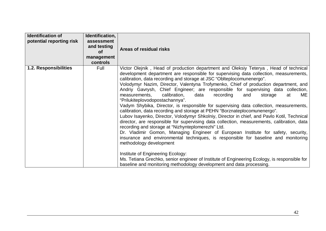| <b>Identification of</b><br>potential reporting risk | Identification,<br>assessment<br>and testing<br>Οf<br>management<br>controls | Areas of residual risks                                                                                                                                                                                                                                                                                                                                                                                                                                                                                                                                                                                                                                                                                                                                                                                                                                                                                                                                                                                                                                                                                                                                                                                                                                                                                                                                                                                |
|------------------------------------------------------|------------------------------------------------------------------------------|--------------------------------------------------------------------------------------------------------------------------------------------------------------------------------------------------------------------------------------------------------------------------------------------------------------------------------------------------------------------------------------------------------------------------------------------------------------------------------------------------------------------------------------------------------------------------------------------------------------------------------------------------------------------------------------------------------------------------------------------------------------------------------------------------------------------------------------------------------------------------------------------------------------------------------------------------------------------------------------------------------------------------------------------------------------------------------------------------------------------------------------------------------------------------------------------------------------------------------------------------------------------------------------------------------------------------------------------------------------------------------------------------------|
| 1.2. Responsibilities                                | Full                                                                         | Victor Olejnik, Head of production department and Oleksiy Teterya, Head of technical<br>development department are responsible for supervising data collection, measurements,<br>calibration, data recording and storage at JSC "Oblteplocomunenergo".<br>Volodymyr Nazim, Director, Valentyna Trofymenko, Chief of production department, and<br>Andriy Gavrysh, Chief Engineer; are responsible for supervising data collection,<br>calibration,<br>ME<br>data<br>recording<br>measurements,<br>and<br>storage<br>at<br>"Prilukiteplovodopostachannya".<br>Vadym Shybika, Director, is responsible for supervising data collection, measurements,<br>calibration, data recording and storage at PEHN "Borznateplocomunenergo".<br>Lubov Isayenko, Director, Volodymyr Shkolniy, Director in chief, and Pavlo Kotil, Technical<br>director, are responsible for supervising data collection, measurements, calibration, data<br>recording and storage at "Nizhynteplomerezhi" Ltd.<br>Dr. Vladimir Gomon, Managing Engineer of European Institute for safety, security,<br>insurance and environmental techniques, is responsible for baseline and monitoring<br>methodology development<br>Institute of Engineering Ecology:<br>Ms. Tetiana Grechko, senior engineer of Institute of Engineering Ecology, is responsible for<br>baseline and monitoring methodology development and data processing. |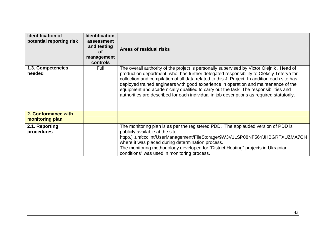| <b>Identification of</b><br>potential reporting risk | Identification,<br>assessment<br>and testing<br>Οf<br>management<br>controls | Areas of residual risks                                                                                                                                                                                                                                                                                                                                                                                                                                                                                                                                         |
|------------------------------------------------------|------------------------------------------------------------------------------|-----------------------------------------------------------------------------------------------------------------------------------------------------------------------------------------------------------------------------------------------------------------------------------------------------------------------------------------------------------------------------------------------------------------------------------------------------------------------------------------------------------------------------------------------------------------|
| 1.3. Competencies<br>needed                          | Full                                                                         | The overall authority of the project is personally supervised by Victor Olejnik, Head of<br>production department, who has further delegated responsibility to Oleksiy Teterya for<br>collection and compilation of all data related to this JI Project. In addition each site has<br>deployed trained engineers with good experience in operation and maintenance of the<br>equipment and academically qualified to carry out the task. The responsibilities and<br>authorities are described for each individual in job descriptions as required statutorily. |
| 2. Conformance with<br>monitoring plan               |                                                                              |                                                                                                                                                                                                                                                                                                                                                                                                                                                                                                                                                                 |
| 2.1. Reporting<br>procedures                         |                                                                              | The monitoring plan is as per the registered PDD. The applauded version of PDD is<br>publicly available at the site<br>http://ji.unfccc.int/UserManagement/FileStorage/9W3V1LSP08NF56YJHBGRTXUZMA7CI4<br>where it was placed during determination process.<br>The monitoring methodology developed for "District Heating" projects in Ukrainian<br>conditions" was used in monitoring process.                                                                                                                                                                  |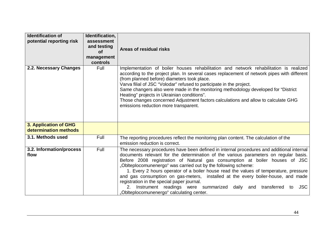| <b>Identification of</b><br>potential reporting risk | Identification,<br>assessment<br>and testing<br><b>of</b><br>management<br>controls | Areas of residual risks                                                                                                                                                                                                                                                                                                                                                                                                                                                                                                                                                                                                                                                                               |
|------------------------------------------------------|-------------------------------------------------------------------------------------|-------------------------------------------------------------------------------------------------------------------------------------------------------------------------------------------------------------------------------------------------------------------------------------------------------------------------------------------------------------------------------------------------------------------------------------------------------------------------------------------------------------------------------------------------------------------------------------------------------------------------------------------------------------------------------------------------------|
| 2.2. Necessary Changes                               | Full                                                                                | Implementation of boiler houses rehabilitation and network rehabilitation is realized<br>according to the project plan. In several cases replacement of network pipes with different<br>(from planned before) diameters took place.<br>Varva filial of JSC "Volodar" refused to participate in the project.<br>Same changers also were made in the monitoring methodology developed for "District"<br>Heating" projects in Ukrainian conditions".<br>Those changes concerned Adjustment factors calculations and allow to calculate GHG<br>emissions reduction more transparent.                                                                                                                      |
| 3. Application of GHG<br>determination methods       |                                                                                     |                                                                                                                                                                                                                                                                                                                                                                                                                                                                                                                                                                                                                                                                                                       |
| 3.1. Methods used                                    | Full                                                                                | The reporting procedures reflect the monitoring plan content. The calculation of the<br>emission reduction is correct.                                                                                                                                                                                                                                                                                                                                                                                                                                                                                                                                                                                |
| 3.2. Information/process<br>flow                     | Full                                                                                | The necessary procedures have been defined in internal procedures and additional internal<br>documents relevant for the determination of the various parameters on regular basis.<br>Before 2008 registration of Natural gas consumption at boiler houses of JSC<br>"Oblteplocomunenergo" was carried out by the following scheme:<br>1. Every 2 hours operator of a boiler house read the values of temperature, pressure<br>and gas consumption on gas-meters, installed at the every boiler-house, and made<br>registration in the special paper journal.<br>Instrument readings were summarized daily and transferred<br><b>JSC</b><br>$2_{-}$<br>to<br>"Oblteplocomunenergo" calculating center. |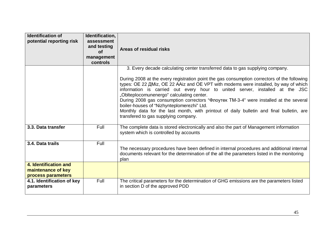| <b>Identification of</b><br>potential reporting risk              | Identification,<br>assessment<br>and testing<br><b>of</b><br>management<br>controls | Areas of residual risks                                                                                                                                                                                                                                                                                                                                                                                                                                                                                                                                                                                                                                                      |
|-------------------------------------------------------------------|-------------------------------------------------------------------------------------|------------------------------------------------------------------------------------------------------------------------------------------------------------------------------------------------------------------------------------------------------------------------------------------------------------------------------------------------------------------------------------------------------------------------------------------------------------------------------------------------------------------------------------------------------------------------------------------------------------------------------------------------------------------------------|
|                                                                   |                                                                                     | 3. Every decade calculating center transferred data to gas supplying company.<br>During 2008 at the every registration point the gas consumption correctors of the following<br>types: OE 22 ДMiz, OE 22 AAiz and OE VPT with modems were installed, by way of which<br>information is carried out every hour to united server, installed at the JSC<br>"Oblteplocomunenergo" calculating center.<br>During 2008 gas consumption correctors "Флоутек ТМ-3-4" were installed at the several<br>boiler-houses of "Nizhynteplomerezhi" Ltd.<br>Monthly data for the last month, with printout of daily bulletin and final bulletin, are<br>transfered to gas supplying company. |
| 3.3. Data transfer                                                | Full                                                                                | The complete data is stored electronically and also the part of Management information<br>system which is controlled by accounts                                                                                                                                                                                                                                                                                                                                                                                                                                                                                                                                             |
| 3.4. Data trails                                                  | Full                                                                                | The necessary procedures have been defined in internal procedures and additional internal<br>documents relevant for the determination of the all the parameters listed in the monitoring<br>plan                                                                                                                                                                                                                                                                                                                                                                                                                                                                             |
| 4. Identification and<br>maintenance of key<br>process parameters |                                                                                     |                                                                                                                                                                                                                                                                                                                                                                                                                                                                                                                                                                                                                                                                              |
| 4.1. Identification of key<br>parameters                          | Full                                                                                | The critical parameters for the determination of GHG emissions are the parameters listed<br>in section D of the approved PDD                                                                                                                                                                                                                                                                                                                                                                                                                                                                                                                                                 |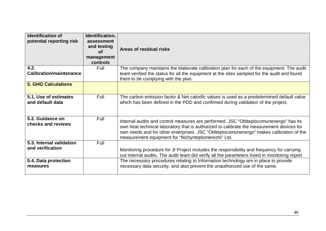| <b>Identification of</b><br>potential reporting risk | Identification,<br>assessment<br>and testing<br><b>of</b><br>management<br>controls | Areas of residual risks                                                                                                                                                                                                                                                                                                              |
|------------------------------------------------------|-------------------------------------------------------------------------------------|--------------------------------------------------------------------------------------------------------------------------------------------------------------------------------------------------------------------------------------------------------------------------------------------------------------------------------------|
| 4.2.                                                 | Full                                                                                | The company maintains the elaborate calibration plan for each of the equipment. The audit                                                                                                                                                                                                                                            |
| <b>Calibration/maintenance</b>                       |                                                                                     | team verified the status for all the equipment at the sites sampled for the audit and found<br>them to be complying with the plan.                                                                                                                                                                                                   |
| <b>5. GHG Calculations</b>                           |                                                                                     |                                                                                                                                                                                                                                                                                                                                      |
| 5.1. Use of estimates<br>and default data            | Full                                                                                | The carbon emission factor & Net calorific values is used as a predetermined default value<br>which has been defined in the PDD and confirmed during validation of the project.                                                                                                                                                      |
| 5.2. Guidance on<br>checks and reviews               | Full                                                                                | Internal audits and control measures are performed. JSC "Oblteplocomunenergo" has its<br>own heat technical laboratory that is authorized to calibrate the measurement devices for<br>own needs and for other enterprises. JSC "Oblteplocomunenergo" makes calibration of the<br>measurement equipment for "Nizhynteplomerezhi" Ltd. |
| 5.3. Internal validation                             | Full                                                                                |                                                                                                                                                                                                                                                                                                                                      |
| and verification                                     |                                                                                     | Monitoring procedure for JI Project includes the responsibility and frequency for carrying<br>out internal audits. The audit team did verify all the parameters listed in monitoring report                                                                                                                                          |
| 5.4. Data protection                                 |                                                                                     | The necessary procedures relating to Information technology are in place to provide                                                                                                                                                                                                                                                  |
| measures                                             |                                                                                     | necessary data security, and also prevent the unauthorized use of the same.                                                                                                                                                                                                                                                          |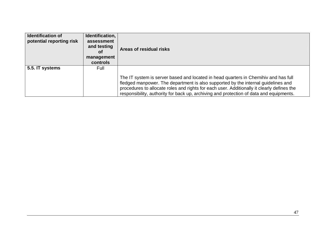| <b>Identification of</b><br>potential reporting risk | Identification,<br>assessment<br>and testing<br><b>of</b><br>management<br><b>controls</b> | Areas of residual risks                                                                                                                                                                                                                                                                                                                                            |
|------------------------------------------------------|--------------------------------------------------------------------------------------------|--------------------------------------------------------------------------------------------------------------------------------------------------------------------------------------------------------------------------------------------------------------------------------------------------------------------------------------------------------------------|
| 5.5. IT systems                                      | Full                                                                                       |                                                                                                                                                                                                                                                                                                                                                                    |
|                                                      |                                                                                            | The IT system is server based and located in head quarters in Chernihiv and has full<br>fledged manpower. The department is also supported by the internal guidelines and<br>procedures to allocate roles and rights for each user. Additionally it clearly defines the<br>responsibility, authority for back up, archiving and protection of data and equipments. |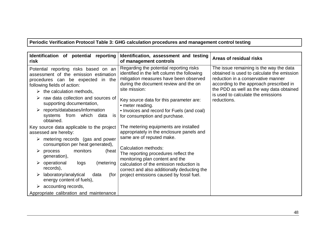**Periodic Verification Protocol Table 3: GHG calculation procedures and management control testing**

| Identification of potential reporting<br>risk                                                                                                                                                   | Identification, assessment and testing<br>of management controls                                                                                                                           | Areas of residual risks                                                                                                                                                                                                                                  |
|-------------------------------------------------------------------------------------------------------------------------------------------------------------------------------------------------|--------------------------------------------------------------------------------------------------------------------------------------------------------------------------------------------|----------------------------------------------------------------------------------------------------------------------------------------------------------------------------------------------------------------------------------------------------------|
| Potential reporting risks based on an<br>assessment of the emission estimation<br>procedures can be expected in the<br>following fields of action:<br>$\triangleright$ the calculation methods, | Regarding the potential reporting risks<br>identified in the left column the following<br>mitigation measures have been observed<br>during the document review and the on<br>site mission: | The issue remaining is the way the data<br>obtained is used to calculate the emission<br>reduction in a conservative manner<br>according to the approach prescribed in<br>the PDD as well as the way data obtained<br>is used to calculate the emissions |
| raw data collection and sources of<br>supporting documentation,                                                                                                                                 | Key source data for this parameter are:<br>• meter reading.                                                                                                                                | reductions.                                                                                                                                                                                                                                              |
| $\triangleright$ reports/databases/information<br>systems from<br>which<br>data<br><b>IS</b><br>obtained.                                                                                       | • Invoices and record for Fuels (and coal)<br>for consumption and purchase.                                                                                                                |                                                                                                                                                                                                                                                          |
| Key source data applicable to the project<br>assessed are hereby:                                                                                                                               | The metering equipments are installed<br>appropriately in the enclosure panels and                                                                                                         |                                                                                                                                                                                                                                                          |
| $\triangleright$ metering records (gas and power<br>consumption per heat generated),                                                                                                            | same are of reputed make.                                                                                                                                                                  |                                                                                                                                                                                                                                                          |
| monitors<br>process<br>(heat<br>➤<br>generation),                                                                                                                                               | Calculation methods:<br>The reporting procedures reflect the<br>monitoring plan content and the                                                                                            |                                                                                                                                                                                                                                                          |
| $\triangleright$ operational<br>(metering<br>logs<br>records),                                                                                                                                  | calculation of the emission reduction is<br>correct and also additionally deducting the                                                                                                    |                                                                                                                                                                                                                                                          |
| $\triangleright$ laboratory/analytical<br>(for<br>data<br>energy content of fuels),                                                                                                             | project emissions caused by fossil fuel.                                                                                                                                                   |                                                                                                                                                                                                                                                          |
| $\triangleright$ accounting records,                                                                                                                                                            |                                                                                                                                                                                            |                                                                                                                                                                                                                                                          |
| Appropriate calibration and maintenance                                                                                                                                                         |                                                                                                                                                                                            |                                                                                                                                                                                                                                                          |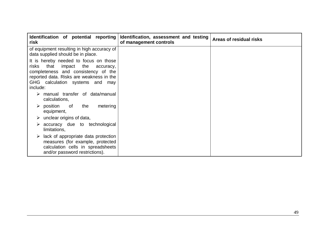| Identification of potential reporting<br>risk                                                                                                                                                                          | Identification, assessment and testing<br>of management controls | Areas of residual risks |
|------------------------------------------------------------------------------------------------------------------------------------------------------------------------------------------------------------------------|------------------------------------------------------------------|-------------------------|
| of equipment resulting in high accuracy of<br>data supplied should be in place.                                                                                                                                        |                                                                  |                         |
| It is hereby needed to focus on those<br>the<br>that<br>impact<br>risks<br>accuracy,<br>completeness and consistency of the<br>reported data. Risks are weakness in the<br>GHG calculation systems and may<br>include: |                                                                  |                         |
| manual transfer of data/manual<br>➤<br>calculations,                                                                                                                                                                   |                                                                  |                         |
| $\triangleright$ position<br>the<br>metering<br>of<br>equipment,                                                                                                                                                       |                                                                  |                         |
| unclear origins of data,<br>➤                                                                                                                                                                                          |                                                                  |                         |
| accuracy due to technological<br>➤<br>limitations,                                                                                                                                                                     |                                                                  |                         |
| lack of appropriate data protection<br>➤<br>measures (for example, protected<br>calculation cells in spreadsheets<br>and/or password restrictions).                                                                    |                                                                  |                         |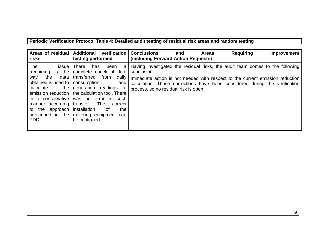## **Periodic Verification Protocol Table 4: Detailed audit testing of residual risk areas and random testing**

| Areas of residual<br>risks                                                                                                                                                                       | <b>Additional</b><br>verification<br>testing performed                                                                                                                                                                                                                                                                     | <b>Conclusions</b><br><b>Requiring</b><br><b>Areas</b><br>and<br>Improvement<br>(including Forward Action Requests)                                                                                                                                                                                   |
|--------------------------------------------------------------------------------------------------------------------------------------------------------------------------------------------------|----------------------------------------------------------------------------------------------------------------------------------------------------------------------------------------------------------------------------------------------------------------------------------------------------------------------------|-------------------------------------------------------------------------------------------------------------------------------------------------------------------------------------------------------------------------------------------------------------------------------------------------------|
| The<br>issue<br>remaining is the<br>data<br>the<br>way<br>obtained is used to<br>calculate<br>the<br>emission reduction<br>in a conservative<br>manner according<br>to the<br>approach  <br>PDD. | <b>There</b><br>been<br>has<br>a<br>complete check of data<br>transferred<br>from<br>daily<br>consumption<br>and<br>generation readings to<br>the calculation tool. There<br>was no error in such<br>transfer.<br>The<br>correct<br>installation<br>the<br>0f<br>prescribed in the metering equipment can<br>be confirmed. | Having investigated the residual risks, the audit team comes to the following<br>conclusion:<br>Immediate action is not needed with respect to the current emission reduction<br>calculation. Those corrections have been considered during the verification<br>process, so no residual risk is open. |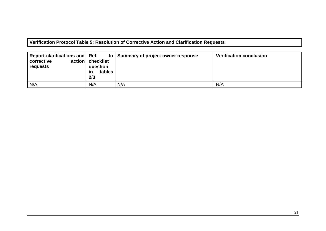**Verification Protocol Table 5: Resolution of Corrective Action and Clarification Requests**

| Report clarifications and Ref.<br>action  <br>corrective<br>requests | checklist<br>question<br>tables<br>ın<br>2/3 | to Summary of project owner response | <b>Verification conclusion</b> |
|----------------------------------------------------------------------|----------------------------------------------|--------------------------------------|--------------------------------|
| N/A                                                                  | N/A                                          | N/A                                  | N/A                            |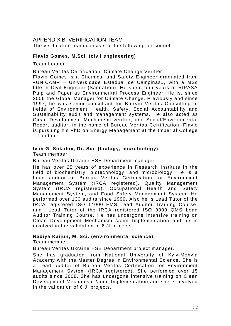#### APPENDIX B: VERIFICATION TEAM

The verification team consists of the following personnel:

#### **Flavio Gomes, M.Sci. (civil engineering)**

Team Leader

Bureau Veritas Certification, Climate Change Verifier

Flavio Gomes is a Chemical and Safety Engineer graduated from «UNICAMP – Universidade Estadual de Campinas», with a MSc title in Civil Engineer (Sanitation). He spent four years at RIPASA Pulp and Paper as Environmental Process Engineer. He is, since 2006 the Global Manager for Climate Change. Previously and since 1997, he was senior consultant for Bureau Veritas Consulting in fields of Environment, Health, Safety, Social Accountability and Sustainability audit and management systems. He also acted as Clean Development Mechanism verifier, and Social/Environmental Report auditor, in the name of Bureau Veritas Certification. Flavio is pursuing his PhD on Energy Management at the Imperial College – London.

#### **Ivan G. Sokolov, Dr. Sci. (biology, microbiology)**

Team member

Bureau Veritas Ukraine HSE Department manager.

He has over 25 years of experience in Research Institute in the field of biochemistry, biotechnology, and microbiology. He is a Lead auditor of Bureau Veritas Certification for Environment Management System (IRCA registered), Quality Management System (IRCA registered), Occupational Health and Safety Management System, and Food Safety Management System. He performed over 130 audits since 1999. Also he is Lead Tutor of the IRCA registered ISO 14000 EMS Lead Auditor Training Course, and Lead Tutor of the IRCA registered ISO 9000 QMS Lead Auditor Training Course. He has undergone intensive training on Clean Development Mechanism /Joint Implementation and he is involved in the validation of 6 JI projects.

#### **Nadiya Kaiiun, M. Sci. (environmental science)**

Team member

Bureau Veritas Ukraine HSE Department project manager.

She has graduated from National University of Kyiv-Mohyla Academy with the Master Degree in Environmental Science. She is a Lead auditor of Bureau Veritas Certification for Environment Management System (IRCA registered). She performed over 15 audits since 2008. She has undergone intensive training on Clean Development Mechanism /Joint Implementation and she is involved in the validation of 6 JI projects.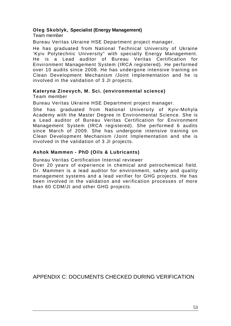#### **Oleg Skoblyk, Specialist (Energy Management)**

Team member

Bureau Veritas Ukraine HSE Department project manager.

He has graduated from National Technical University of Ukraine 'Kyiv Polytechnic University" with specialty Energy Management. He is a Lead auditor of Bureau Veritas Certification for Environment Management System (IRCA registered). He performed over 10 audits since 2008. He has undergone intensive training on Clean Development Mechanism /Joint Implementation and he is involved in the validation of 3 JI projects.

#### **Kateryna Zinevych, M. Sci. (environmental science)**

Team member

Bureau Veritas Ukraine HSE Department project manager.

She has graduated from National University of Kyiv-Mohyla Academy with the Master Degree in Environmental Science. She is a Lead auditor of Bureau Veritas Certification for Environment Management System (IRCA registered). She performed 6 audits since March of 2009. She has undergone intensive training on Clean Development Mechanism /Joint Implementation and she is involved in the validation of 3 JI projects.

#### **Ashok Mammen - PhD (Oils & Lubricants)**

Bureau Veritas Certification Internal reviewer

Over 20 years of experience in chemical and petrochemical field. Dr. Mammen is a lead auditor for environment, safety and quality management systems and a lead verifier for GHG projects. He has been involved in the validation and verification processes of more than 60 CDM/JI and other GHG projects.

APPENDIX C: DOCUMENTS CHECKED DURING VERIFICATION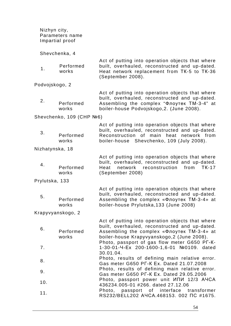|                | Nizhyn city,<br>Parameters name<br>Impartial proof |                                                                                                                                                                                                                                                 |
|----------------|----------------------------------------------------|-------------------------------------------------------------------------------------------------------------------------------------------------------------------------------------------------------------------------------------------------|
|                | Shevchenka, 4                                      |                                                                                                                                                                                                                                                 |
| 1.             | Performed<br>works                                 | Act of putting into operation objects that where<br>built, overhauled, reconstructed and up-dated.<br>Heat network replacement from TK-5 to TK-36<br>(September 2008).                                                                          |
| Podvojskogo, 2 |                                                    |                                                                                                                                                                                                                                                 |
| 2.             | Performed<br>works                                 | Act of putting into operation objects that where<br>built, overhauled, reconstructed and up-dated.<br>Assembling the complex "Флоутек ТМ-3-4" at<br>boiler-house Podvojskogo, 2. (June 2008).                                                   |
|                | Shevchenko, 109 (CHP Nº6)                          |                                                                                                                                                                                                                                                 |
| 3.             | Performed<br>works                                 | Act of putting into operation objects that where<br>built, overhauled, reconstructed and up-dated.<br>Reconstruction of main heat network from<br>boiler-house Shevchenko, 109 (July 2008).                                                     |
|                | Nizhatynska, 18                                    |                                                                                                                                                                                                                                                 |
| 4.             | Performed<br>works                                 | Act of putting into operation objects that where<br>built, overhauled, reconstructed and up-dated.<br>reconstruction<br>network<br>from<br><b>TK-17</b><br>Heat<br>(September 2008)                                                             |
| Prylutska, 133 |                                                    |                                                                                                                                                                                                                                                 |
| 5.             | Performed<br>works                                 | Act of putting into operation objects that where<br>built, overhauled, reconstructed and up-dated.<br>Assembling the complex «Флоутек ТМ-3-4» at<br>boiler-house Prylutska, 133 (June 2008)                                                     |
|                | Krapyvyanskogo, 2                                  |                                                                                                                                                                                                                                                 |
| 6.             | Performed<br>works                                 | Act of putting into operation objects that where<br>built, overhauled, reconstructed and up-dated.<br>Assembling the complex «Флоутек ТМ-3-4» at<br>boiler-house Krapyvyanskogo, 2 (June 2008).<br>Photo, passport of gas flow meter G650 PF-K- |
| 7.             |                                                    | 1-30-01-4-Ex 200-1600-1,6-01 №0109. dated<br>30.01.04.                                                                                                                                                                                          |
| 8.             |                                                    | Photo, results of defining main relative error.<br>Gas meter G650 PF-K Ex. Dated 21.07.2008                                                                                                                                                     |
| 9.             |                                                    | Photo, results of defining main relative error.<br>Gas meter G650 PF-K Ex. Dated 29.05.2006                                                                                                                                                     |
| 10.            |                                                    | Photo, passport power unit ИПИ 12/3 AYCA<br>436234.005-01 #266. dated 27.12.06                                                                                                                                                                  |
| 11.            |                                                    | passport of interface transformer<br>Photo,<br>RS232/BELL202 A4CA.468153. 002 NC #1675.                                                                                                                                                         |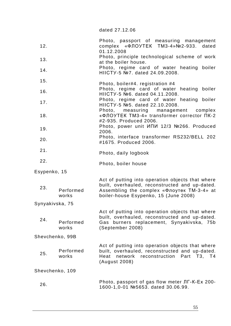dated 27.12.06

| 12.             |                    | Photo, passport of measuring management<br>complex «ФЛОУТЕК ТМ3-4»№2-933. dated<br>01.12.2008                                                                                             |
|-----------------|--------------------|-------------------------------------------------------------------------------------------------------------------------------------------------------------------------------------------|
| 13.             |                    | Photo, principle technological scheme of work<br>at the boiler house.                                                                                                                     |
| 14.             |                    | Photo, regime card of water heating boiler<br>HIICTY-5 №7. dated 24.09.2008.                                                                                                              |
| 15.             |                    | Photo, boiler#4. registration #4                                                                                                                                                          |
| 16.             |                    | Photo, regime card of water heating boiler<br>HIICTY-5 №6. dated 04.11.2008.                                                                                                              |
| 17.             |                    | Photo, regime card of water heating boiler<br>HIICTY-5 №5. dated 22.10.2008.                                                                                                              |
| 18.             |                    | Photo,<br>measuring management<br>complex<br>«ФЛОУТЕК ТМЗ-4» transformer corrector ПК-2<br>#2-935. Produced 2006.                                                                         |
| 19.             |                    | Photo, power unit ИПИ 12/3 №266. Produced<br>2006.                                                                                                                                        |
| 20.             |                    | Photo, interface transformer RS232/BELL 202<br>#1675. Produced 2006.                                                                                                                      |
| 21.             |                    | Photo, daily logbook                                                                                                                                                                      |
| 22.             |                    | Photo, boiler house                                                                                                                                                                       |
| Esypenko, 15    |                    |                                                                                                                                                                                           |
| 23.             | Performed<br>works | Act of putting into operation objects that where<br>built, overhauled, reconstructed and up-dated.<br>Assembling the complex «Флоутек ТМ-3-4» at<br>boiler-house Esypenko, 15 (June 2008) |
| Synyakivska, 75 |                    |                                                                                                                                                                                           |
| 24.             | Performed<br>works | Act of putting into operation objects that where<br>built, overhauled, reconstructed and up-dated.<br>Gas burners replacement, Synyakivska, 75b<br>(September 2008)                       |
|                 | Shevchenko, 99B    |                                                                                                                                                                                           |
| 25.             | Performed<br>works | Act of putting into operation objects that where<br>built, overhauled, reconstructed and up-dated.<br>Heat<br>network<br>reconstruction Part T3, T4<br>(August 2008)                      |
|                 | Shevchenko, 109    |                                                                                                                                                                                           |
| 26.             |                    | Photo, passport of gas flow meter JT-K-Ex 200-<br>1600-1,0-01 №5653. dated 30.06.99.                                                                                                      |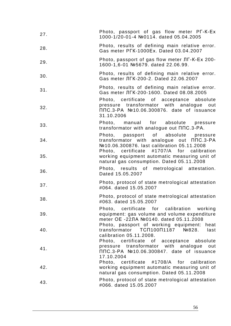| Photo, passport of gas flow meter PT-K-Ex<br>1000-1/20-01-4 №0114. dated 05.04.2005                                                                                                     |
|-----------------------------------------------------------------------------------------------------------------------------------------------------------------------------------------|
| Photo, results of defining main relative error.<br>Gas meter PFK-1000Ex. Dated 03.04.2007                                                                                               |
| Photo, passport of gas flow meter JT-K-Ex 200-<br>1600-1,6-01 №5679. dated 22.06.99.                                                                                                    |
| Photo, results of defining main relative error.<br>Gas meter ЛГК-200-2. Dated 22.06.2007                                                                                                |
| Photo, results of defining main relative error.<br>Gas meter JIFK-200-1600. Dated 08.08.2005                                                                                            |
| Photo, certificate of acceptance absolute<br>pressure transformator with analogue out<br>ППС.3-РА №10.06.300876. date of issuance<br>31.10.2006                                         |
| Photo, manual for absolute pressure<br>transformator with analogue out $\Pi$ DC.3-PA.                                                                                                   |
| Photo, passport of absolute pressure<br>transformator with analogue out $\Pi \Pi C.3-PA$<br>№10.06.300876. last calibration 05.11.2008<br>Photo, certificate #1707/A for<br>calibration |
| working equipment automatic measuring unit of<br>natural gas consumption. Dated 05.11.2008                                                                                              |
| Photo, results of metrological attestation.<br>Dated 15.05.2007                                                                                                                         |
| Photo, protocol of state metrological attestation<br>#064. dated 15.05.2007                                                                                                             |
| Photo, protocol of state metrological attestation<br>#063. dated 15.05.2007                                                                                                             |
| Photo, certificate for calibration working<br>equipment: gas volume and volume expenditure<br>meter ОЕ -22ЛА №0140. dated 05.11.2008                                                    |
| Photo, passport of working equipment:<br>heat<br>transformator TCN100N1187 Nº828.<br>last<br>calibration 05.11.2008.                                                                    |
| Photo, certificate of acceptance absolute<br>transformator with analogue<br>pressure<br>out<br>ППС.3-РА №10.06.300847. date of issuance<br>17.10.2004                                   |
| Photo, certificate #1708/A for calibration<br>working equipment automatic measuring unit of<br>natural gas consumption. Dated 05.11.2008                                                |
|                                                                                                                                                                                         |
|                                                                                                                                                                                         |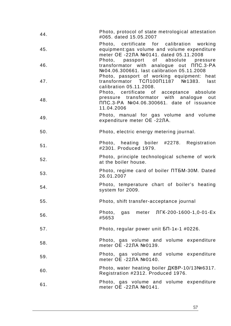| 44. | Photo, protocol of state metrological attestation<br>#065. dated 15.05.2007                                                                                                           |
|-----|---------------------------------------------------------------------------------------------------------------------------------------------------------------------------------------|
| 45. | Photo, certificate for calibration working<br>equipment:gas volume and volume expenditure<br>meter OE -22ЛА №0141. dated 05.11.2008                                                   |
| 46. | Photo, passport of absolute pressure<br>transformator with analogue out $\Pi \Pi C.3-PA$<br>Nº04.06.300661. last calibration 05.11.2008<br>Photo, passport of working equipment: heat |
| 47. | transformator TCN100N1187 Nº1383.<br>last<br>calibration 05.11.2008.<br>Photo, certificate of acceptance absolute                                                                     |
| 48. | pressure transformator with analogue<br>out<br>ППС.3-РА №04.06.300661. date of issuance<br>11.04.2006                                                                                 |
| 49. | Photo, manual for gas volume and volume<br>expenditure meter OE -22ЛА.                                                                                                                |
| 50. | Photo, electric energy metering journal.                                                                                                                                              |
| 51. | Photo, heating boiler #2278. Registration<br>#2301. Produced 1979.                                                                                                                    |
| 52. | Photo, principle technological scheme of work<br>at the boiler house.                                                                                                                 |
| 53. | Photo, regime card of boiler NT5M-30M. Dated<br>26.01.2007                                                                                                                            |
| 54. | Photo, temperature chart of boiler's heating<br>system for 2009.                                                                                                                      |
| 55. | Photo, shift transfer-acceptance journal                                                                                                                                              |
| 56. | Photo, gas meter ЛГК-200-1600-1,0-01-Ex<br>#5653                                                                                                                                      |
| 57. | Photo, regular power unit $5\pi$ -1k-1 #0226.                                                                                                                                         |
| 58. | Photo, gas volume and volume expenditure<br>meter OE -22ЛА №0139.                                                                                                                     |
| 59. | Photo, gas volume and volume expenditure<br>meter ОЕ -22ЛА №0140.                                                                                                                     |
| 60. | Photo, water heating boiler ДКВР-10/13№6317.<br>Registration #2312. Produced 1976.                                                                                                    |
| 61. | Photo, gas volume and volume expenditure<br>meter OE -22ЛА №0141.                                                                                                                     |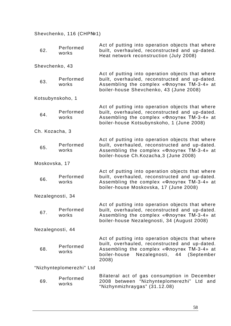## Shevchenko, 116 (CHPN<sup>21</sup>)

| 62.              | Performed<br>works       | Act of putting into operation objects that where<br>built, overhauled, reconstructed and up-dated.<br>Heat network reconstruction (July 2008)                                                            |
|------------------|--------------------------|----------------------------------------------------------------------------------------------------------------------------------------------------------------------------------------------------------|
| Shevchenko, 43   |                          |                                                                                                                                                                                                          |
| 63.              | Performed<br>works       | Act of putting into operation objects that where<br>built, overhauled, reconstructed and up-dated.<br>Assembling the complex «Флоутек ТМ-3-4» at<br>boiler-house Shevchenko, 43 (June 2008)              |
| Kotsubynskoho, 1 |                          |                                                                                                                                                                                                          |
| 64.              | Performed<br>works       | Act of putting into operation objects that where<br>built, overhauled, reconstructed and up-dated.<br>Assembling the complex «Флоутек ТМ-3-4» at<br>boiler-house Kotsubynskoho, 1 (June 2008)            |
| Ch. Kozacha, 3   |                          |                                                                                                                                                                                                          |
| 65.              | Performed<br>works       | Act of putting into operation objects that where<br>built, overhauled, reconstructed and up-dated.<br>Assembling the complex «Флоутек ТМ-3-4» at<br>boiler-house Ch. Kozacha, 3 (June 2008)              |
| Moskovska, 17    |                          |                                                                                                                                                                                                          |
| 66.              | Performed<br>works       | Act of putting into operation objects that where<br>built, overhauled, reconstructed and up-dated.<br>Assembling the complex «Флоутек ТМ-3-4» at<br>boiler-house Moskovska, 17 (June 2008)               |
| Nezalegnosti, 34 |                          |                                                                                                                                                                                                          |
| 67.              | Performed<br>works       | Act of putting into operation objects that where<br>built, overhauled, reconstructed and up-dated.<br>Assembling the complex «Флоутек ТМ-3-4» at<br>boiler-house Nezalegnosti, 34 (August 2008)          |
| Nezalegnosti, 44 |                          |                                                                                                                                                                                                          |
| 68.              | Performed<br>works       | Act of putting into operation objects that where<br>built, overhauled, reconstructed and up-dated.<br>Assembling the complex «Флоутек ТМ-3-4» at<br>Nezalegnosti, 44 (September<br>boiler-house<br>2008) |
|                  | "Nizhynteplomerezhi" Ltd |                                                                                                                                                                                                          |
| 69.              | Performed<br>works       | Bilateral act of gas consumption in December<br>2008 between "Nizhynteplomerezhi" Ltd and<br>"Nizhynmizhraygas" (31.12.08)                                                                               |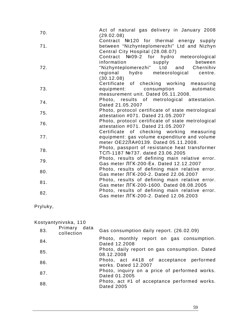| 70. | Act of natural gas delivery in January 2008<br>(29.02.08)                                                                          |
|-----|------------------------------------------------------------------------------------------------------------------------------------|
| 71. | Contract №120 for thermal energy supply<br>between "Nizhynteplomerezhi" Ltd and Nizhyn<br>Central City Hospital (28.08.07)         |
| 72. | Contract Nº09-2 for hydro meteorological<br>between<br>information<br>supply<br>"Nizhynteplomerezhi" Ltd and Chernihiv             |
|     | regional hydro meteorological centre.<br>(30.12.08)                                                                                |
| 73. | Certificate of checking working<br>measuring<br>equipment: consumption automatic<br>measurement unit. Dated 05.11.2008.            |
| 74. | Photo, results of metrological attestation.<br>Dated 21.05.2007                                                                    |
| 75. | Photo, protocol certificate of state metrological<br>attestation #071. Dated 21.05.2007                                            |
| 76. | Photo, protocol certificate of state metrological<br>attestation #071. Dated 21.05.2007                                            |
| 77. | Certificate of checking working measuring<br>equipment: gas volume expenditure and volume<br>meter OE22JIA#0139. Dated 05.11.2008. |
| 78. | Photo, passport of resistance heat transformer<br>TCN-1187 №737. dated 23.06.2005                                                  |
| 79. | Photo, results of defining main relative error.<br>Gas meter ЛГК-200-Ex. Dated 12.12.2007                                          |
| 80. | Photo, results of defining main relative error.<br>Gas meter ЛГК-200-2. Dated 22.06.2007                                           |
| 81. | Photo, results of defining main relative error.<br>Gas meter JIFK-200-1600. Dated 08.08.2005                                       |
| 82. | Photo, results of defining main relative error.<br>Gas meter ЛГК-200-2. Dated 12.06.2003                                           |

Pryluky,

#### Kostyantynivska, 110

| Primary data<br>83.<br>collection | Gas consumption daily report. (26.02.09)                          |
|-----------------------------------|-------------------------------------------------------------------|
| 84.                               | Photo, monthly report on gas consumption.<br>Dated 12.2008        |
| 85.                               | Photo, daily report on gas consumption. Dated<br>08.12.2008       |
| 86.                               | Photo, act #418 of acceptance performed<br>works. Dated 12.2007   |
| 87.                               | Photo, inquiry on a price of performed works.<br>Dated 01.2005    |
| 88.                               | Photo, act #1 of acceptance performed works.<br><b>Dated 2005</b> |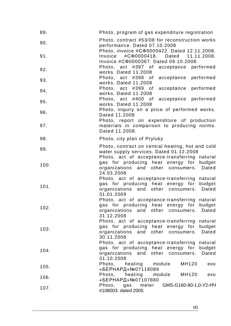| 89.  | Photo, program of gas expenditure registration                                                                                                               |
|------|--------------------------------------------------------------------------------------------------------------------------------------------------------------|
| 90.  | Photo, contract #53/08 for reconstruction works<br>performance. Dated 07.10.2008                                                                             |
| 91.  | Photo, invoice #C $\Phi$ 0000422. Dated 12.11.2008.<br>Invoice<br>#C00000418. Dated 11.11.2008.<br>Invoice #C $\Phi$ 0000367. Dated 09.10.2008.              |
| 92.  | Photo, act #397 of acceptance performed<br>works. Dated 11.2008                                                                                              |
| 93.  | Photo, act #398 of acceptance performed<br>works. Dated 11.2008                                                                                              |
| 94.  | Photo, act #399 of<br>acceptance performed<br>works. Dated 11.2008                                                                                           |
| 95.  | Photo, act #400 of acceptance performed<br>works. Dated 11.2008                                                                                              |
| 96.  | Photo, inquiry on a price of performed works.<br>Dated 11.2008                                                                                               |
| 97.  | Photo, report on expenditure of production<br>materials in comparison to producing norms.<br>Dated 11.2008.                                                  |
| 98.  | Photo, city plan of Pryluky                                                                                                                                  |
| 99.  | Photo, contract on central heating, hot and cold<br>water supply services. Dated 01.12.2008<br>Photo, act of acceptance-transferring natural                 |
| 100. | gas for producing heat energy for budget<br>organizations and other consumers. Dated<br>24.03.2008                                                           |
| 101. | Photo, act of acceptance-transferring<br>natural<br>gas for producing heat energy for<br>budget<br>organizations and other consumers. Dated<br>31.01.2009    |
| 102. | Photo, act of acceptance-transferring natural<br>gas for producing heat energy for budget<br>organizations and other consumers. Dated<br>31.12.2008          |
| 103. | Photo, act of acceptance-transferring natural<br>gas for producing heat energy for<br>budget<br>organizations<br>Dated<br>and other consumers.<br>30.11.2008 |
| 104. | Photo, act of acceptance-transferring natural<br>gas for producing heat energy for<br>budget<br>organizations and other consumers.<br>Dated<br>31.10.2008    |
| 105. | Photo, heating<br>module<br>MH120<br>еко<br>«БЕРНАРД» №07118089                                                                                              |
| 106. | Photo, heating<br>module<br>MH120<br>еко<br>«БЕРНАРД» №07107880                                                                                              |
| 107. | Photo, gas meter<br>GMS-G160-80-1,0-Y2-HY<br>#108003. dated 2005.                                                                                            |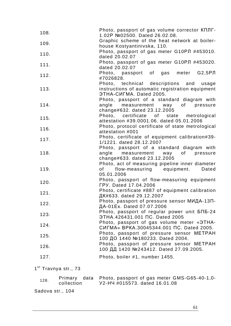| 108. | Photo, passport of gas volume corrector KNNT-<br>1.02P Nº02500. Dated 26.02.08. |
|------|---------------------------------------------------------------------------------|
| 109. | Graphic scheme of the heat network at boiler-                                   |
|      | house Kostyantinivska, 110.                                                     |
| 110. | Photo, passport of gas meter G10PJ #453010.<br>dated 20.02.07                   |
|      | Photo, passport of gas meter G10PJ #453020.                                     |
| 111. | dated 20.02.07                                                                  |
| 112. | Photo, passport of gas meter G2,5PJ<br>#7026828.                                |
|      | Photo, technical descriptions and usage                                         |
| 113. | instructions of automatic registration equipment                                |
|      | <b><i>GTHA-CULMA. Dated 2005.</i></b>                                           |
|      | Photo, passport of a standard diagram with                                      |
| 114. | angle measurement way of pressure                                               |
|      | change#632. dated 23.12.2005                                                    |
|      | Photo, certificate of state metrological                                        |
| 115. | attestation #39.0001.06. dated 05.01.2006                                       |
|      | Photo, protocol certificate of state metrological                               |
| 116. | attestation #001                                                                |
|      | Photo, certificate of equipment calibration#39-                                 |
| 117. | 1/1221. dated 28.12.2007                                                        |
|      | Photo, passport of a standard diagram with                                      |
| 118. | angle measurement way of pressure                                               |
|      | change#633. dated 23.12.2005                                                    |
|      | Photo, act of measuring pipeline inner diameter                                 |
| 119. | of flow-measuring equipment. Dated                                              |
|      | 05.01.2006                                                                      |
|      |                                                                                 |
| 120. | Photo, passport of flow-measuring equipment<br><b>FPY. Dated 17.04.2006</b>     |
|      | Photo, certificate #887 of equipment calibration                                |
| 121. |                                                                                 |
|      | ДК#633. dated 29.12.2007                                                        |
| 122. | Photo, passport of pressure sensor МИДА-13П-                                    |
|      | ДА-01Ex. Dated 07.07.2006                                                       |
| 123. | Photo, passport of regular power unit БПБ-24                                    |
|      | ЭТНА.426431.001 ПС. Dated 2005                                                  |
| 124. | Photo, passport of gas volume meter «3THA-                                      |
|      | СИГМА» ВРКА.30045344.001 ПС. Dated 2005.                                        |
| 125. | Photo, passport of pressure sensor METPAH                                       |
|      | 100 ДО 1440 №180233. Dated 2004.                                                |
| 126. | Photo, passport of pressure sensor METPAH                                       |
|      | 100 ДД 1420 №243412. Dated 27.09.2005.                                          |
|      |                                                                                 |
| 127. | Photo, boiler #1, number 1455.                                                  |

1<sup>st</sup> Travnya str., 73

| 128. | collection       | Primary data Photo, passport of gas meter GMS-G65-40-1,0-<br>Y2-H4 #015573. dated 16.01.08 |
|------|------------------|--------------------------------------------------------------------------------------------|
|      | Sadova str., 104 |                                                                                            |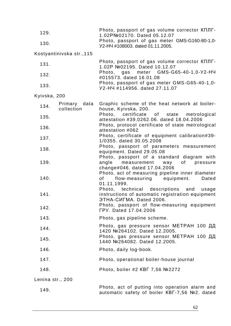| 129.             |                            | Photo, passport of gas volume corrector KNNT-<br>1.02PNº02170. Dated 05.12.07                                                                                                                                           |  |  |  |  |
|------------------|----------------------------|-------------------------------------------------------------------------------------------------------------------------------------------------------------------------------------------------------------------------|--|--|--|--|
| 130.             |                            | Photo, passport of gas meter GMS-G160-80-1,0-<br>Y2-HY #108003. dated 01.11.2005.                                                                                                                                       |  |  |  |  |
|                  | Kostyantinivska str., 115  |                                                                                                                                                                                                                         |  |  |  |  |
| 131.             |                            | Photo, passport of gas volume corrector KNNT-<br>1.02P Nº02195. Dated 10.12.07                                                                                                                                          |  |  |  |  |
| 132.             |                            | Photo, gas meter GMS-G65-40-1,0-Y2-H4<br>#015573. dated 16.01.08                                                                                                                                                        |  |  |  |  |
| 133.             |                            | Photo, passport of gas meter GMS-G65-40-1,0-<br>Y2-H4 #114956. dated 27.11.07                                                                                                                                           |  |  |  |  |
| Kyivska, 200     |                            |                                                                                                                                                                                                                         |  |  |  |  |
| 134.             | Primary data<br>collection | Graphic scheme of the heat network at boiler-<br>house, Kyivska, 200.                                                                                                                                                   |  |  |  |  |
| 135.             |                            | Photo, certificate of state metrological<br>attestation #39.0262.06. dated 18.04.2006                                                                                                                                   |  |  |  |  |
| 136.             |                            | Photo, protocol certificate of state metrological<br>attestation #062                                                                                                                                                   |  |  |  |  |
| 137.             |                            | Photo, certificate of equipment calibration#39-<br>1/0355. dated 30.05.2008                                                                                                                                             |  |  |  |  |
| 138.             |                            | Photo, passport of parameters measurement<br>equipment. Dated 29.05.08                                                                                                                                                  |  |  |  |  |
| 139.             |                            | Photo, passport of a standard diagram with<br>angle measurement way<br>of pressure<br>change#046. dated 17.04.2006                                                                                                      |  |  |  |  |
| 140.             |                            | Photo, act of measuring pipeline inner diameter<br>flow-measuring equipment.<br>Dated<br>of the set of the set of the set of the set of the set of the set of the set of the set of the set of the set o<br>01.11.1999. |  |  |  |  |
| 141.             |                            | Photo, technical descriptions and usage<br>instructions of automatic registration equipment<br><b>GTHA-CULMA. Dated 2006.</b>                                                                                           |  |  |  |  |
| 142.             |                            | Photo, passport of flow-measuring equipment<br><b>FPY. Dated 17.04.2006</b>                                                                                                                                             |  |  |  |  |
| 143.             |                            | Photo, gas pipeline scheme.                                                                                                                                                                                             |  |  |  |  |
| 144.             |                            | Photo, gas pressure sensor METPAH 100 ДД<br>1420 №264102. Dated 12.2005.                                                                                                                                                |  |  |  |  |
| 145.             |                            | Photo, gas pressure sensor METPAH 100 ДД<br>1440 №264082. Dated 12.2005.                                                                                                                                                |  |  |  |  |
| 146.             |                            | Photo, daily log-book.                                                                                                                                                                                                  |  |  |  |  |
| 147.             |                            | Photo, operational boiler-house journal                                                                                                                                                                                 |  |  |  |  |
| 148.             |                            | Photo, boiler #2 KBF 7,56 №2272                                                                                                                                                                                         |  |  |  |  |
| Lenina str., 200 |                            |                                                                                                                                                                                                                         |  |  |  |  |

149. Photo, act of putting into operation alarm and automatic safety of boiler ɄȼȽ-7,56 ʋ2. dated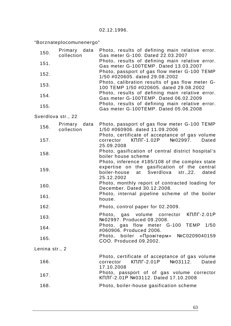"Borznateplocomunenergo"

| 150.               | Primary data<br>collection    | Photo, results of defining main relative error.<br>Gas meter G-100. Dated 22.03.2007                                                                                                                                                                                                                                                                                                                                                                             |
|--------------------|-------------------------------|------------------------------------------------------------------------------------------------------------------------------------------------------------------------------------------------------------------------------------------------------------------------------------------------------------------------------------------------------------------------------------------------------------------------------------------------------------------|
| 151.               |                               | Photo, results of defining main relative error.<br>Gas meter G-100TEMP. Dated 13.03.2007<br>Photo, passport of gas flow meter G-100 TEMP<br>1/50 #020605. dated 29.08.2002<br>Photo, calibration results of gas flow meter G-<br>100 TEMP 1/50 #020605. dated 29.08.2002<br>Photo, results of defining main relative error.<br>Gas meter G-100TEMP. Dated 06.02.2009<br>Photo, results of defining main relative error.<br>Gas meter G-100TEMP. Dated 05.06.2008 |
|                    |                               |                                                                                                                                                                                                                                                                                                                                                                                                                                                                  |
| 152.               |                               |                                                                                                                                                                                                                                                                                                                                                                                                                                                                  |
| 153.               |                               |                                                                                                                                                                                                                                                                                                                                                                                                                                                                  |
| 154.               |                               |                                                                                                                                                                                                                                                                                                                                                                                                                                                                  |
| 155.               |                               |                                                                                                                                                                                                                                                                                                                                                                                                                                                                  |
| Sverdlova str., 22 |                               |                                                                                                                                                                                                                                                                                                                                                                                                                                                                  |
| 156.               | data<br>Primary<br>collection | Photo, passport of gas flow meter G-100 TEMP<br>1/50 #060906. dated 11.09.2006                                                                                                                                                                                                                                                                                                                                                                                   |
|                    |                               | Photo, certificate of acceptance of gas volume                                                                                                                                                                                                                                                                                                                                                                                                                   |
| 157.               |                               | КПЛГ-1.02Р<br>Nº02997.<br>corrector<br>Dated<br>25.09.2008<br>Photo, gasification of central district hospital's<br>boiler house scheme                                                                                                                                                                                                                                                                                                                          |
| 158.               |                               |                                                                                                                                                                                                                                                                                                                                                                                                                                                                  |
|                    |                               | Photo, inference #185/108 of the complex state                                                                                                                                                                                                                                                                                                                                                                                                                   |
| 159.               |                               | expertise on the gasification of the central<br>Sverdlova<br>str.,22.<br>boiler-house<br>at<br>dated<br>25.12.2002<br>Photo, monthly report of contracted loading for<br>December, Dated 30.12.2008.<br>Photo, internal pipeline scheme of the boiler                                                                                                                                                                                                            |
| 160.               |                               |                                                                                                                                                                                                                                                                                                                                                                                                                                                                  |
|                    |                               |                                                                                                                                                                                                                                                                                                                                                                                                                                                                  |
| 161.               |                               | house.                                                                                                                                                                                                                                                                                                                                                                                                                                                           |
| 162.               |                               | Photo, control paper for 02.2009.                                                                                                                                                                                                                                                                                                                                                                                                                                |
| 163.               |                               | КПЛГ-2.01Р<br>Photo, gas volume<br>corrector<br>Nº02997. Produced 09.2008.<br>Photo, gas flow meter G-100 TEMP 1/50<br>#060906. Produced 2006.                                                                                                                                                                                                                                                                                                                   |
| 164.               |                               |                                                                                                                                                                                                                                                                                                                                                                                                                                                                  |
| 165.               |                               | Photo, boiler «Провітерм» №С0209040159<br>COO. Produced 09.2002.                                                                                                                                                                                                                                                                                                                                                                                                 |
| Lenina str., 2     |                               |                                                                                                                                                                                                                                                                                                                                                                                                                                                                  |
| 166.               |                               | Photo, certificate of acceptance of gas volume<br>$K\Pi$ ЛГ-2.01Р №03112.<br>corrector<br>Dated<br>17.10.2008                                                                                                                                                                                                                                                                                                                                                    |
| 167.               |                               | Photo, passport of of gas volume corrector<br>КПЛГ-2.01Р №03112. Dated 17.10.2008                                                                                                                                                                                                                                                                                                                                                                                |
| 168.               |                               | Photo, boiler-house gasification scheme                                                                                                                                                                                                                                                                                                                                                                                                                          |